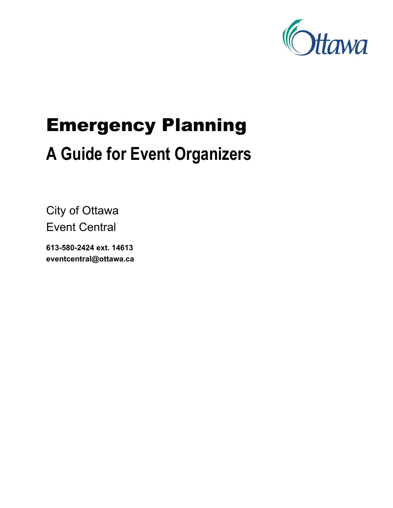

# Emergency Planning

## **A Guide for Event Organizers**

City of Ottawa Event Central

**613-580-2424 ext. 14613 eventcentral@ottawa.ca**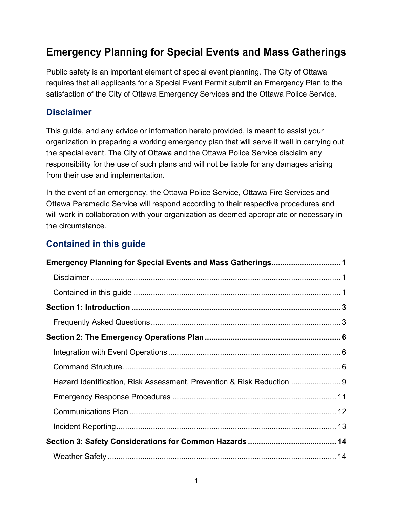### <span id="page-1-0"></span>**Emergency Planning for Special Events and Mass Gatherings**

Public safety is an important element of special event planning. The City of Ottawa requires that all applicants for a Special Event Permit submit an Emergency Plan to the satisfaction of the City of Ottawa Emergency Services and the Ottawa Police Service.

### <span id="page-1-1"></span>**Disclaimer**

This guide, and any advice or information hereto provided, is meant to assist your organization in preparing a working emergency plan that will serve it well in carrying out the special event. The City of Ottawa and the Ottawa Police Service disclaim any responsibility for the use of such plans and will not be liable for any damages arising from their use and implementation.

In the event of an emergency, the Ottawa Police Service, Ottawa Fire Services and Ottawa Paramedic Service will respond according to their respective procedures and will work in collaboration with your organization as deemed appropriate or necessary in the circumstance.

### <span id="page-1-2"></span>**Contained in this guide**

| Emergency Planning for Special Events and Mass Gatherings 1         |  |
|---------------------------------------------------------------------|--|
|                                                                     |  |
|                                                                     |  |
|                                                                     |  |
|                                                                     |  |
|                                                                     |  |
|                                                                     |  |
|                                                                     |  |
| Hazard Identification, Risk Assessment, Prevention & Risk Reduction |  |
|                                                                     |  |
|                                                                     |  |
|                                                                     |  |
|                                                                     |  |
|                                                                     |  |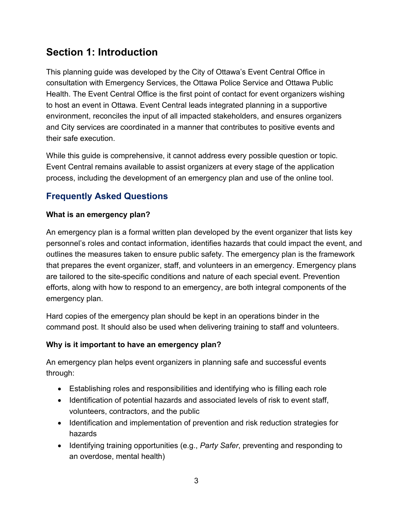### <span id="page-3-0"></span>**Section 1: Introduction**

This planning guide was developed by the City of Ottawa's Event Central Office in consultation with Emergency Services, the Ottawa Police Service and Ottawa Public Health. The Event Central Office is the first point of contact for event organizers wishing to host an event in Ottawa. Event Central leads integrated planning in a supportive environment, reconciles the input of all impacted stakeholders, and ensures organizers and City services are coordinated in a manner that contributes to positive events and their safe execution.

While this guide is comprehensive, it cannot address every possible question or topic. Event Central remains available to assist organizers at every stage of the application process, including the development of an emergency plan and use of the online tool.

### <span id="page-3-1"></span>**Frequently Asked Questions**

### **What is an emergency plan?**

An emergency plan is a formal written plan developed by the event organizer that lists key personnel's roles and contact information, identifies hazards that could impact the event, and outlines the measures taken to ensure public safety. The emergency plan is the framework that prepares the event organizer, staff, and volunteers in an emergency. Emergency plans are tailored to the site-specific conditions and nature of each special event. Prevention efforts, along with how to respond to an emergency, are both integral components of the emergency plan.

Hard copies of the emergency plan should be kept in an operations binder in the command post. It should also be used when delivering training to staff and volunteers.

### **Why is it important to have an emergency plan?**

An emergency plan helps event organizers in planning safe and successful events through:

- Establishing roles and responsibilities and identifying who is filling each role
- Identification of potential hazards and associated levels of risk to event staff, volunteers, contractors, and the public
- Identification and implementation of prevention and risk reduction strategies for hazards
- Identifying training opportunities (e.g., *Party Safer*, preventing and responding to an overdose, mental health)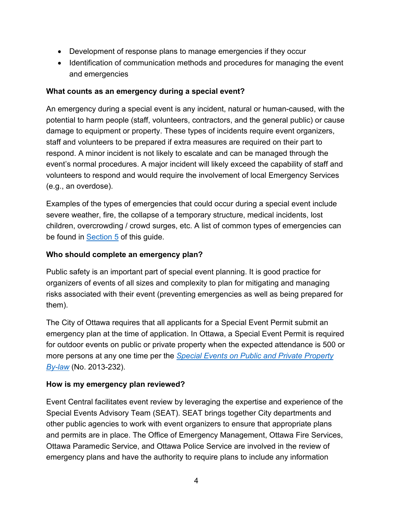- Development of response plans to manage emergencies if they occur
- Identification of communication methods and procedures for managing the event and emergencies

#### **What counts as an emergency during a special event?**

An emergency during a special event is any incident, natural or human-caused, with the potential to harm people (staff, volunteers, contractors, and the general public) or cause damage to equipment or property. These types of incidents require event organizers, staff and volunteers to be prepared if extra measures are required on their part to respond. A minor incident is not likely to escalate and can be managed through the event's normal procedures. A major incident will likely exceed the capability of staff and volunteers to respond and would require the involvement of local Emergency Services (e.g., an overdose).

Examples of the types of emergencies that could occur during a special event include severe weather, fire, the collapse of a temporary structure, medical incidents, lost children, overcrowding / crowd surges, etc. A list of common types of emergencies can be found in [Section 5](#page-22-1) of this guide.

#### **Who should complete an emergency plan?**

Public safety is an important part of special event planning. It is good practice for organizers of events of all sizes and complexity to plan for mitigating and managing risks associated with their event (preventing emergencies as well as being prepared for them).

The City of Ottawa requires that all applicants for a Special Event Permit submit an emergency plan at the time of application. In Ottawa, a Special Event Permit is required for outdoor events on public or private property when the expected attendance is 500 or more persons at any one time per the *[Special Events on Public and Private Property](https://ottawa.ca/en/living-ottawa/laws-licences-and-permits/laws/law-z/special-events-public-and-private-property-law-no-2013-232)  [By-law](https://ottawa.ca/en/living-ottawa/laws-licences-and-permits/laws/law-z/special-events-public-and-private-property-law-no-2013-232)* (No. 2013-232).

#### **How is my emergency plan reviewed?**

Event Central facilitates event review by leveraging the expertise and experience of the Special Events Advisory Team (SEAT). SEAT brings together City departments and other public agencies to work with event organizers to ensure that appropriate plans and permits are in place. The Office of Emergency Management, Ottawa Fire Services, Ottawa Paramedic Service, and Ottawa Police Service are involved in the review of emergency plans and have the authority to require plans to include any information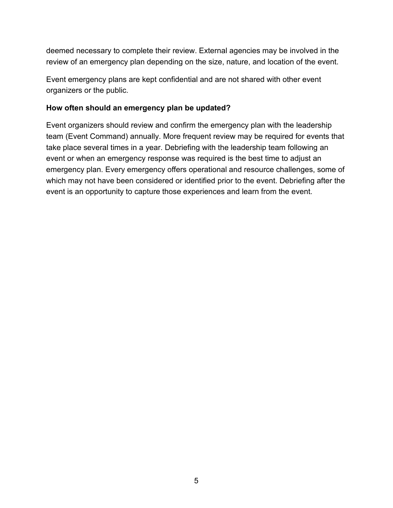deemed necessary to complete their review. External agencies may be involved in the review of an emergency plan depending on the size, nature, and location of the event.

Event emergency plans are kept confidential and are not shared with other event organizers or the public.

#### **How often should an emergency plan be updated?**

Event organizers should review and confirm the emergency plan with the leadership team (Event Command) annually. More frequent review may be required for events that take place several times in a year. Debriefing with the leadership team following an event or when an emergency response was required is the best time to adjust an emergency plan. Every emergency offers operational and resource challenges, some of which may not have been considered or identified prior to the event. Debriefing after the event is an opportunity to capture those experiences and learn from the event.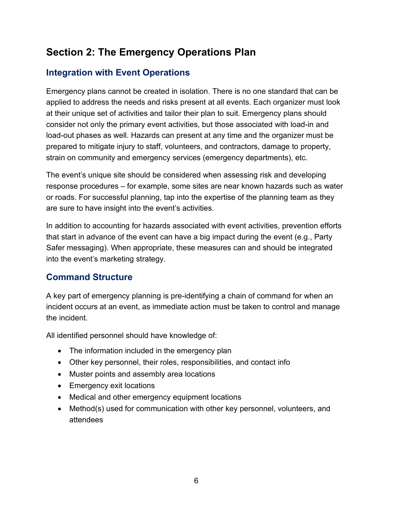### <span id="page-6-0"></span>**Section 2: The Emergency Operations Plan**

### <span id="page-6-1"></span>**Integration with Event Operations**

Emergency plans cannot be created in isolation. There is no one standard that can be applied to address the needs and risks present at all events. Each organizer must look at their unique set of activities and tailor their plan to suit. Emergency plans should consider not only the primary event activities, but those associated with load-in and load-out phases as well. Hazards can present at any time and the organizer must be prepared to mitigate injury to staff, volunteers, and contractors, damage to property, strain on community and emergency services (emergency departments), etc.

The event's unique site should be considered when assessing risk and developing response procedures – for example, some sites are near known hazards such as water or roads. For successful planning, tap into the expertise of the planning team as they are sure to have insight into the event's activities.

In addition to accounting for hazards associated with event activities, prevention efforts that start in advance of the event can have a big impact during the event (e.g., Party Safer messaging). When appropriate, these measures can and should be integrated into the event's marketing strategy.

### <span id="page-6-2"></span>**Command Structure**

A key part of emergency planning is pre-identifying a chain of command for when an incident occurs at an event, as immediate action must be taken to control and manage the incident.

All identified personnel should have knowledge of:

- The information included in the emergency plan
- Other key personnel, their roles, responsibilities, and contact info
- Muster points and assembly area locations
- Emergency exit locations
- Medical and other emergency equipment locations
- Method(s) used for communication with other key personnel, volunteers, and attendees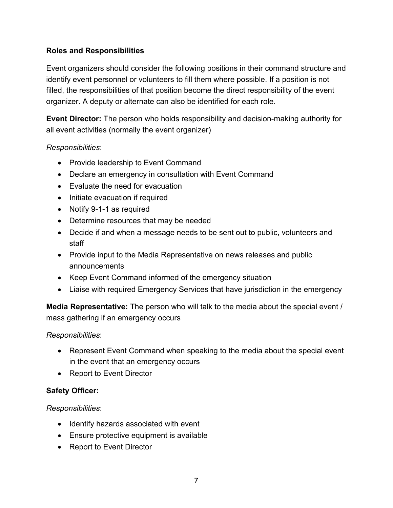#### **Roles and Responsibilities**

Event organizers should consider the following positions in their command structure and identify event personnel or volunteers to fill them where possible. If a position is not filled, the responsibilities of that position become the direct responsibility of the event organizer. A deputy or alternate can also be identified for each role.

**Event Director:** The person who holds responsibility and decision-making authority for all event activities (normally the event organizer)

#### *Responsibilities*:

- Provide leadership to Event Command
- Declare an emergency in consultation with Event Command
- Evaluate the need for evacuation
- Initiate evacuation if required
- Notify 9-1-1 as required
- Determine resources that may be needed
- Decide if and when a message needs to be sent out to public, volunteers and staff
- Provide input to the Media Representative on news releases and public announcements
- Keep Event Command informed of the emergency situation
- Liaise with required Emergency Services that have jurisdiction in the emergency

**Media Representative:** The person who will talk to the media about the special event / mass gathering if an emergency occurs

#### *Responsibilities*:

- Represent Event Command when speaking to the media about the special event in the event that an emergency occurs
- Report to Event Director

### **Safety Officer:**

#### *Responsibilities*:

- Identify hazards associated with event
- Ensure protective equipment is available
- Report to Event Director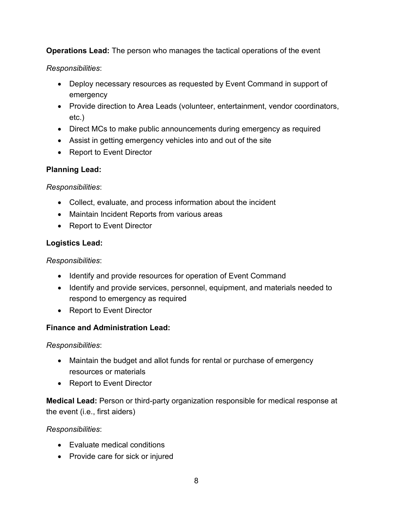**Operations Lead:** The person who manages the tactical operations of the event

*Responsibilities*:

- Deploy necessary resources as requested by Event Command in support of emergency
- Provide direction to Area Leads (volunteer, entertainment, vendor coordinators, etc.)
- Direct MCs to make public announcements during emergency as required
- Assist in getting emergency vehicles into and out of the site
- Report to Event Director

### **Planning Lead:**

*Responsibilities*:

- Collect, evaluate, and process information about the incident
- Maintain Incident Reports from various areas
- Report to Event Director

### **Logistics Lead:**

### *Responsibilities*:

- Identify and provide resources for operation of Event Command
- Identify and provide services, personnel, equipment, and materials needed to respond to emergency as required
- Report to Event Director

### **Finance and Administration Lead:**

*Responsibilities*:

- Maintain the budget and allot funds for rental or purchase of emergency resources or materials
- Report to Event Director

**Medical Lead:** Person or third-party organization responsible for medical response at the event (i.e., first aiders)

### *Responsibilities*:

- Evaluate medical conditions
- Provide care for sick or injured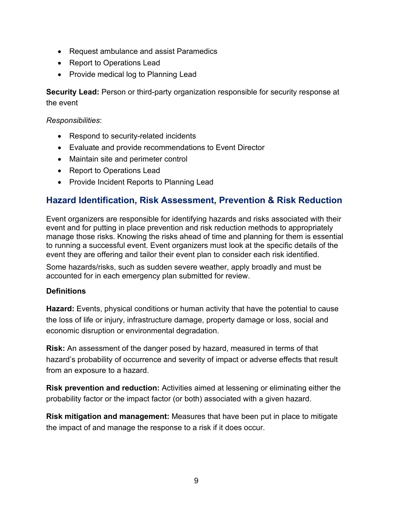- Request ambulance and assist Paramedics
- Report to Operations Lead
- Provide medical log to Planning Lead

**Security Lead:** Person or third-party organization responsible for security response at the event

*Responsibilities*:

- Respond to security-related incidents
- Evaluate and provide recommendations to Event Director
- Maintain site and perimeter control
- Report to Operations Lead
- Provide Incident Reports to Planning Lead

### <span id="page-9-0"></span>**Hazard Identification, Risk Assessment, Prevention & Risk Reduction**

Event organizers are responsible for identifying hazards and risks associated with their event and for putting in place prevention and risk reduction methods to appropriately manage those risks. Knowing the risks ahead of time and planning for them is essential to running a successful event. Event organizers must look at the specific details of the event they are offering and tailor their event plan to consider each risk identified.

Some hazards/risks, such as sudden severe weather, apply broadly and must be accounted for in each emergency plan submitted for review.

#### **Definitions**

**Hazard:** Events, physical conditions or human activity that have the potential to cause the loss of life or injury, infrastructure damage, property damage or loss, social and economic disruption or environmental degradation.

**Risk:** An assessment of the danger posed by hazard, measured in terms of that hazard's probability of occurrence and severity of impact or adverse effects that result from an exposure to a hazard.

**Risk prevention and reduction:** Activities aimed at lessening or eliminating either the probability factor or the impact factor (or both) associated with a given hazard.

**Risk mitigation and management:** Measures that have been put in place to mitigate the impact of and manage the response to a risk if it does occur.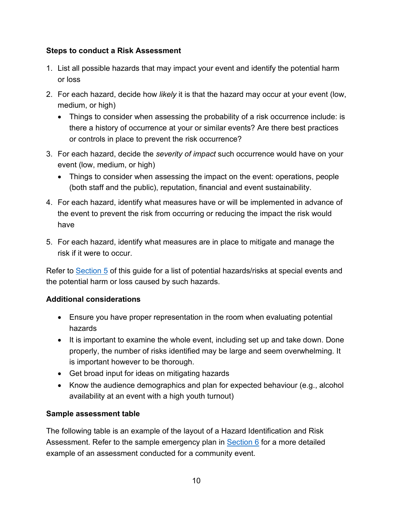#### **Steps to conduct a Risk Assessment**

- 1. List all possible hazards that may impact your event and identify the potential harm or loss
- 2. For each hazard, decide how *likely* it is that the hazard may occur at your event (low, medium, or high)
	- Things to consider when assessing the probability of a risk occurrence include: is there a history of occurrence at your or similar events? Are there best practices or controls in place to prevent the risk occurrence?
- 3. For each hazard, decide the *severity of impact* such occurrence would have on your event (low, medium, or high)
	- Things to consider when assessing the impact on the event: operations, people (both staff and the public), reputation, financial and event sustainability.
- 4. For each hazard, identify what measures have or will be implemented in advance of the event to prevent the risk from occurring or reducing the impact the risk would have
- 5. For each hazard, identify what measures are in place to mitigate and manage the risk if it were to occur.

Refer to [Section 5](#page-22-1) of this guide for a list of potential hazards/risks at special events and the potential harm or loss caused by such hazards.

### **Additional considerations**

- Ensure you have proper representation in the room when evaluating potential hazards
- It is important to examine the whole event, including set up and take down. Done properly, the number of risks identified may be large and seem overwhelming. It is important however to be thorough.
- Get broad input for ideas on mitigating hazards
- Know the audience demographics and plan for expected behaviour (e.g., alcohol availability at an event with a high youth turnout)

### **Sample assessment table**

The following table is an example of the layout of a Hazard Identification and Risk Assessment. Refer to the sample emergency plan in [Section 6](#page-38-1) for a more detailed example of an assessment conducted for a community event.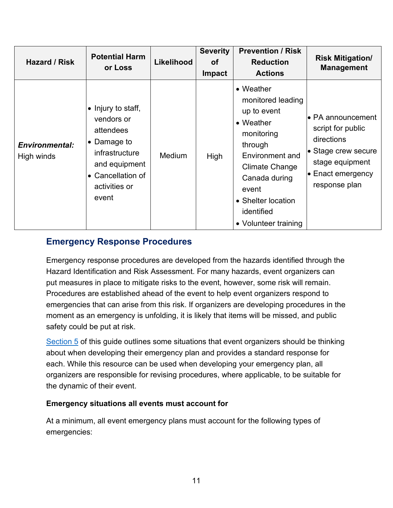| Hazard / Risk                       | <b>Potential Harm</b><br>or Loss                                                                                                                       | Likelihood    | <b>Severity</b><br><b>of</b><br><b>Impact</b> | <b>Prevention / Risk</b><br><b>Reduction</b><br><b>Actions</b>                                                                                                                                                 | <b>Risk Mitigation/</b><br><b>Management</b>                                                                                                          |
|-------------------------------------|--------------------------------------------------------------------------------------------------------------------------------------------------------|---------------|-----------------------------------------------|----------------------------------------------------------------------------------------------------------------------------------------------------------------------------------------------------------------|-------------------------------------------------------------------------------------------------------------------------------------------------------|
| <b>Environmental:</b><br>High winds | $\bullet$ Injury to staff,<br>vendors or<br>attendees<br>• Damage to<br>infrastructure<br>and equipment<br>• Cancellation of<br>activities or<br>event | <b>Medium</b> | High                                          | • Weather<br>monitored leading<br>up to event<br>• Weather<br>monitoring<br>through<br>Environment and<br>Climate Change<br>Canada during<br>event<br>• Shelter location<br>identified<br>• Volunteer training | l∙ PA announcement<br>script for public<br>directions<br>$\bullet$ Stage crew secure<br>stage equipment<br>$\bullet$ Enact emergency<br>response plan |

### <span id="page-11-0"></span>**Emergency Response Procedures**

Emergency response procedures are developed from the hazards identified through the Hazard Identification and Risk Assessment. For many hazards, event organizers can put measures in place to mitigate risks to the event, however, some risk will remain. Procedures are established ahead of the event to help event organizers respond to emergencies that can arise from this risk. If organizers are developing procedures in the moment as an emergency is unfolding, it is likely that items will be missed, and public safety could be put at risk.

[Section 5](#page-26-0) of this guide outlines some situations that event organizers should be thinking about when developing their emergency plan and provides a standard response for each. While this resource can be used when developing your emergency plan, all organizers are responsible for revising procedures, where applicable, to be suitable for the dynamic of their event.

### **Emergency situations all events must account for**

At a minimum, all event emergency plans must account for the following types of emergencies: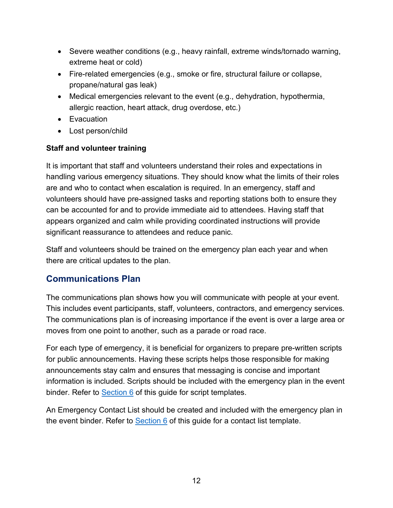- Severe weather conditions (e.g., heavy rainfall, extreme winds/tornado warning, extreme heat or cold)
- Fire-related emergencies (e.g., smoke or fire, structural failure or collapse, propane/natural gas leak)
- Medical emergencies relevant to the event (e.g., dehydration, hypothermia, allergic reaction, heart attack, drug overdose, etc.)
- Evacuation
- Lost person/child

### **Staff and volunteer training**

It is important that staff and volunteers understand their roles and expectations in handling various emergency situations. They should know what the limits of their roles are and who to contact when escalation is required. In an emergency, staff and volunteers should have pre-assigned tasks and reporting stations both to ensure they can be accounted for and to provide immediate aid to attendees. Having staff that appears organized and calm while providing coordinated instructions will provide significant reassurance to attendees and reduce panic.

Staff and volunteers should be trained on the emergency plan each year and when there are critical updates to the plan.

### <span id="page-12-0"></span>**Communications Plan**

The communications plan shows how you will communicate with people at your event. This includes event participants, staff, volunteers, contractors, and emergency services. The communications plan is of increasing importance if the event is over a large area or moves from one point to another, such as a parade or road race.

For each type of emergency, it is beneficial for organizers to prepare pre-written scripts for public announcements. Having these scripts helps those responsible for making announcements stay calm and ensures that messaging is concise and important information is included. Scripts should be included with the emergency plan in the event binder. Refer to [Section 6](#page-62-1) of this guide for script templates.

An Emergency Contact List should be created and included with the emergency plan in the event binder. Refer to [Section 6](#page-58-0) of this guide for a contact list template.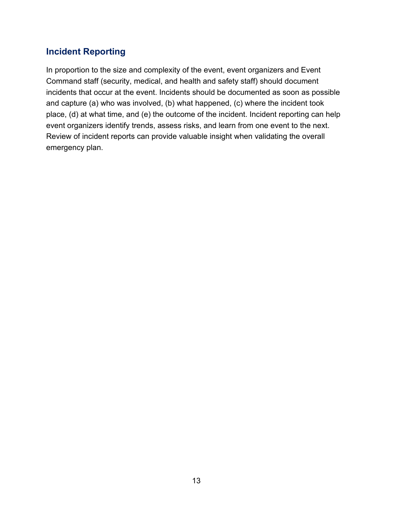### <span id="page-13-0"></span>**Incident Reporting**

In proportion to the size and complexity of the event, event organizers and Event Command staff (security, medical, and health and safety staff) should document incidents that occur at the event. Incidents should be documented as soon as possible and capture (a) who was involved, (b) what happened, (c) where the incident took place, (d) at what time, and (e) the outcome of the incident. Incident reporting can help event organizers identify trends, assess risks, and learn from one event to the next. Review of incident reports can provide valuable insight when validating the overall emergency plan.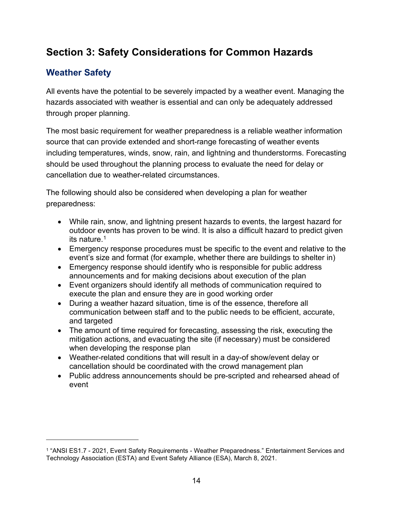### <span id="page-14-0"></span>**Section 3: Safety Considerations for Common Hazards**

### <span id="page-14-1"></span>**Weather Safety**

All events have the potential to be severely impacted by a weather event. Managing the hazards associated with weather is essential and can only be adequately addressed through proper planning.

The most basic requirement for weather preparedness is a reliable weather information source that can provide extended and short-range forecasting of weather events including temperatures, winds, snow, rain, and lightning and thunderstorms. Forecasting should be used throughout the planning process to evaluate the need for delay or cancellation due to weather-related circumstances.

The following should also be considered when developing a plan for weather preparedness:

- While rain, snow, and lightning present hazards to events, the largest hazard for outdoor events has proven to be wind. It is also a difficult hazard to predict given its nature.[1](#page-14-2)
- Emergency response procedures must be specific to the event and relative to the event's size and format (for example, whether there are buildings to shelter in)
- Emergency response should identify who is responsible for public address announcements and for making decisions about execution of the plan
- Event organizers should identify all methods of communication required to execute the plan and ensure they are in good working order
- During a weather hazard situation, time is of the essence, therefore all communication between staff and to the public needs to be efficient, accurate, and targeted
- The amount of time required for forecasting, assessing the risk, executing the mitigation actions, and evacuating the site (if necessary) must be considered when developing the response plan
- Weather-related conditions that will result in a day-of show/event delay or cancellation should be coordinated with the crowd management plan
- Public address announcements should be pre-scripted and rehearsed ahead of event

<span id="page-14-2"></span><sup>1</sup> "ANSI ES1.7 - 2021, Event Safety Requirements - Weather Preparedness." Entertainment Services and Technology Association (ESTA) and Event Safety Alliance (ESA), March 8, 2021.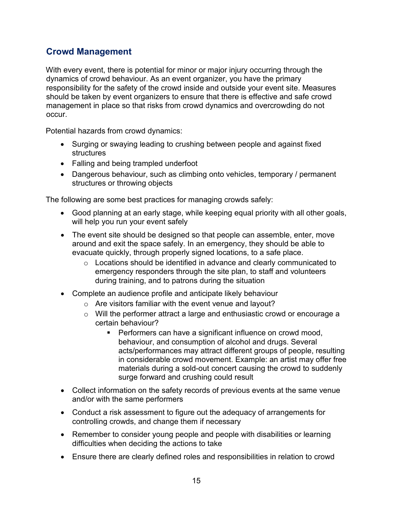### <span id="page-15-0"></span>**Crowd Management**

With every event, there is potential for minor or major injury occurring through the dynamics of crowd behaviour. As an event organizer, you have the primary responsibility for the safety of the crowd inside and outside your event site. Measures should be taken by event organizers to ensure that there is effective and safe crowd management in place so that risks from crowd dynamics and overcrowding do not occur.

Potential hazards from crowd dynamics:

- Surging or swaying leading to crushing between people and against fixed structures
- Falling and being trampled underfoot
- Dangerous behaviour, such as climbing onto vehicles, temporary / permanent structures or throwing objects

The following are some best practices for managing crowds safely:

- Good planning at an early stage, while keeping equal priority with all other goals, will help you run your event safely
- The event site should be designed so that people can assemble, enter, move around and exit the space safely. In an emergency, they should be able to evacuate quickly, through properly signed locations, to a safe place.
	- o Locations should be identified in advance and clearly communicated to emergency responders through the site plan, to staff and volunteers during training, and to patrons during the situation
- Complete an audience profile and anticipate likely behaviour
	- o Are visitors familiar with the event venue and layout?
	- o Will the performer attract a large and enthusiastic crowd or encourage a certain behaviour?
		- **Performers can have a significant influence on crowd mood,** behaviour, and consumption of alcohol and drugs. Several acts/performances may attract different groups of people, resulting in considerable crowd movement. Example: an artist may offer free materials during a sold-out concert causing the crowd to suddenly surge forward and crushing could result
- Collect information on the safety records of previous events at the same venue and/or with the same performers
- Conduct a risk assessment to figure out the adequacy of arrangements for controlling crowds, and change them if necessary
- Remember to consider young people and people with disabilities or learning difficulties when deciding the actions to take
- Ensure there are clearly defined roles and responsibilities in relation to crowd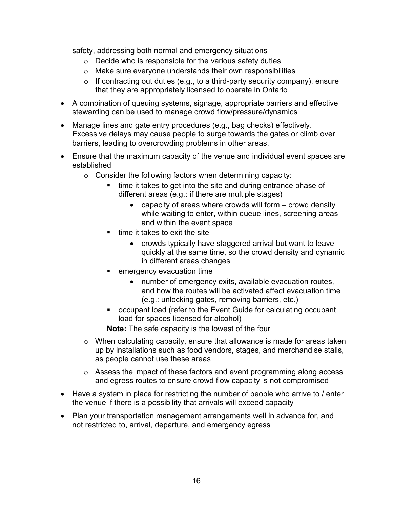safety, addressing both normal and emergency situations

- $\circ$  Decide who is responsible for the various safety duties
- o Make sure everyone understands their own responsibilities
- $\circ$  If contracting out duties (e.g., to a third-party security company), ensure that they are appropriately licensed to operate in Ontario
- A combination of queuing systems, signage, appropriate barriers and effective stewarding can be used to manage crowd flow/pressure/dynamics
- Manage lines and gate entry procedures (e.g., bag checks) effectively. Excessive delays may cause people to surge towards the gates or climb over barriers, leading to overcrowding problems in other areas.
- Ensure that the maximum capacity of the venue and individual event spaces are established
	- $\circ$  Consider the following factors when determining capacity:
		- **time it takes to get into the site and during entrance phase of** different areas (e.g.: if there are multiple stages)
			- capacity of areas where crowds will form crowd density while waiting to enter, within queue lines, screening areas and within the event space
		- time it takes to exit the site
			- crowds typically have staggered arrival but want to leave quickly at the same time, so the crowd density and dynamic in different areas changes
		- emergency evacuation time
			- number of emergency exits, available evacuation routes, and how the routes will be activated affect evacuation time (e.g.: unlocking gates, removing barriers, etc.)
		- occupant load (refer to the Event Guide for calculating occupant load for spaces licensed for alcohol)

**Note:** The safe capacity is the lowest of the four

- o When calculating capacity, ensure that allowance is made for areas taken up by installations such as food vendors, stages, and merchandise stalls, as people cannot use these areas
- o Assess the impact of these factors and event programming along access and egress routes to ensure crowd flow capacity is not compromised
- Have a system in place for restricting the number of people who arrive to / enter the venue if there is a possibility that arrivals will exceed capacity
- Plan your transportation management arrangements well in advance for, and not restricted to, arrival, departure, and emergency egress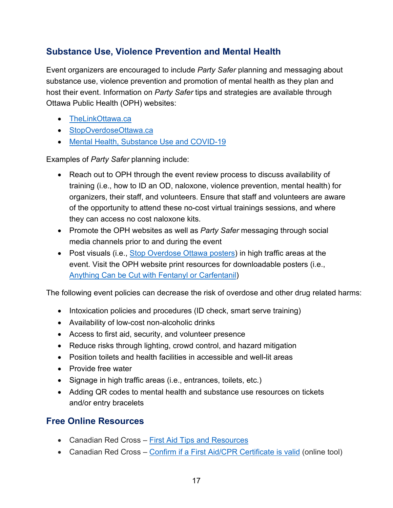### <span id="page-17-0"></span>**Substance Use, Violence Prevention and Mental Health**

Event organizers are encouraged to include *Party Safer* planning and messaging about substance use, violence prevention and promotion of mental health as they plan and host their event. Information on *Party Safer* tips and strategies are available through Ottawa Public Health (OPH) websites:

- [TheLinkOttawa.ca](https://www.thelinkottawa.ca/en/alcohol-drugs-and-tobacco/partysafe.aspx)
- [StopOverdoseOttawa.ca](https://www.ottawapublichealth.ca/en/public-health-services/stop-overdose-ottawa.aspx?utm_source=domain&utm_medium=web&utm_campaign=soo)
- [Mental Health, Substance Use and COVID-19](https://www.ottawapublichealth.ca/en/public-health-topics/mental-health-and-covid-19.aspx)

Examples of *Party Safer* planning include:

- Reach out to OPH through the event review process to discuss availability of training (i.e., how to ID an OD, naloxone, violence prevention, mental health) for organizers, their staff, and volunteers. Ensure that staff and volunteers are aware of the opportunity to attend these no-cost virtual trainings sessions, and where they can access no cost naloxone kits.
- Promote the OPH websites as well as *Party Safer* messaging through social media channels prior to and during the event
- Post visuals (i.e., [Stop Overdose Ottawa posters\)](https://www.ottawapublichealth.ca/en/professionals-and-partners/print-resources.aspx#Opioids) in high traffic areas at the event. Visit the OPH website print resources for downloadable posters (i.e., [Anything Can be Cut with Fentanyl or Carfentanil\)](https://www.ottawapublichealth.ca/en/professionals-and-partners/resources/Documents/Anything-can-be-cut-with-Fentanyl-or-Carfentanil-Poster-EN.pdf)

The following event policies can decrease the risk of overdose and other drug related harms:

- Intoxication policies and procedures (ID check, smart serve training)
- Availability of low-cost non-alcoholic drinks
- Access to first aid, security, and volunteer presence
- Reduce risks through lighting, crowd control, and hazard mitigation
- Position toilets and health facilities in accessible and well-lit areas
- Provide free water
- Signage in high traffic areas (i.e., entrances, toilets, etc.)
- Adding QR codes to mental health and substance use resources on tickets and/or entry bracelets

### <span id="page-17-1"></span>**Free Online Resources**

- Canadian Red Cross – [First Aid Tips and Resources](https://www.redcross.ca/training-and-certification/first-aid-tips-and-resources)
- Canadian Red Cross – [Confirm if a First Aid/CPR Certificate is valid](https://www.redcross.ca/training-and-certification/how-to-confirm-if-a-first-aid/cpr-certificate-is-valid) (online tool)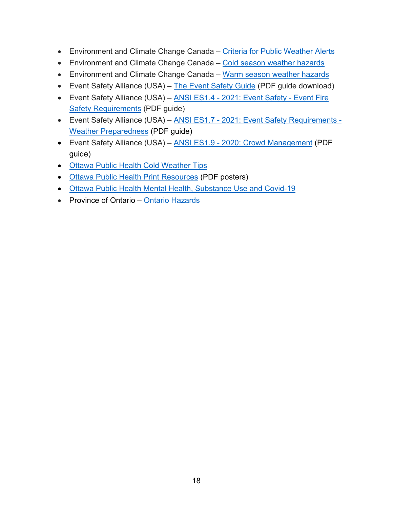- Environment and Climate Change Canada – [Criteria for Public Weather Alerts](https://www.canada.ca/en/environment-climate-change/services/types-weather-forecasts-use/public/criteria-alerts.html)
- Environment and Climate Change Canada – [Cold season weather hazards](https://www.canada.ca/en/environment-climate-change/services/seasonal-weather-hazards/cold-season-weather-hazards.html)
- Environment and Climate Change Canada – [Warm season weather hazards](https://www.canada.ca/en/environment-climate-change/services/seasonal-weather-hazards/warm-season-weather-hazards.html)
- Event Safety Alliance (USA) – [The Event Safety Guide](https://www.eventsafetyalliance.org/the-event-safety-guide) (PDF guide download)
- Event Safety Alliance (USA) – [ANSI ES1.4 2021: Event Safety Event Fire](https://static1.squarespace.com/static/5aec979d3e2d09db8bcad475/t/6178993d76f6670a235a330f/1635293520495/ANSI+ES1.4-2021+Event+Fire+Safety+Requirements.pdf)  [Safety Requirements](https://static1.squarespace.com/static/5aec979d3e2d09db8bcad475/t/6178993d76f6670a235a330f/1635293520495/ANSI+ES1.4-2021+Event+Fire+Safety+Requirements.pdf) (PDF guide)
- Event Safety Alliance (USA) ANSI ES1.7 2021: Event Safety Requirements -[Weather Preparedness](https://static1.squarespace.com/static/5aec979d3e2d09db8bcad475/t/609b08dcbfd0312612b5240c/1620773090781/ANSI+ES1.7-2021+Severe+Weather+Preparedness.pdf) (PDF guide)
- Event Safety Alliance (USA) - [ANSI ES1.9 2020: C](https://static1.squarespace.com/static/5aec979d3e2d09db8bcad475/t/5f28405c6701be2fe6ae9a24/1596473447880/ANSI+ES1.9-2020.pdf)rowd Management (PDF guide)
- [Ottawa Public Health Cold Weather Tips](https://www.ottawapublichealth.ca/en/public-health-topics/cold-weather-everyone.aspx)
- [Ottawa Public Health Print Resources](https://www.ottawapublichealth.ca/en/professionals-and-partners/print-resources.aspx) (PDF posters)
- [Ottawa Public Health Mental Health, Substance Use and Covid-19](https://www.ottawapublichealth.ca/en/public-health-topics/mental-health-and-covid-19.aspx)
- Province of Ontario – [Ontario Hazards](https://www.ontario.ca/page/emergency-preparedness?_ga=2.194419752.421661907.1639507013-1149275938.1639507013)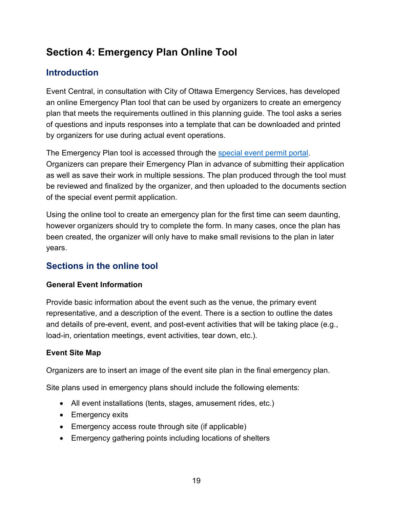### <span id="page-19-0"></span>**Section 4: Emergency Plan Online Tool**

### <span id="page-19-1"></span>**Introduction**

Event Central, in consultation with City of Ottawa Emergency Services, has developed an online Emergency Plan tool that can be used by organizers to create an emergency plan that meets the requirements outlined in this planning guide. The tool asks a series of questions and inputs responses into a template that can be downloaded and printed by organizers for use during actual event operations.

The Emergency Plan tool is accessed through the [special event permit portal.](http://myservice.ottawa.ca/) Organizers can prepare their Emergency Plan in advance of submitting their application as well as save their work in multiple sessions. The plan produced through the tool must be reviewed and finalized by the organizer, and then uploaded to the documents section of the special event permit application.

Using the online tool to create an emergency plan for the first time can seem daunting, however organizers should try to complete the form. In many cases, once the plan has been created, the organizer will only have to make small revisions to the plan in later years.

### <span id="page-19-2"></span>**Sections in the online tool**

### **General Event Information**

Provide basic information about the event such as the venue, the primary event representative, and a description of the event. There is a section to outline the dates and details of pre-event, event, and post-event activities that will be taking place (e.g., load-in, orientation meetings, event activities, tear down, etc.).

### **Event Site Map**

Organizers are to insert an image of the event site plan in the final emergency plan.

Site plans used in emergency plans should include the following elements:

- All event installations (tents, stages, amusement rides, etc.)
- Emergency exits
- Emergency access route through site (if applicable)
- Emergency gathering points including locations of shelters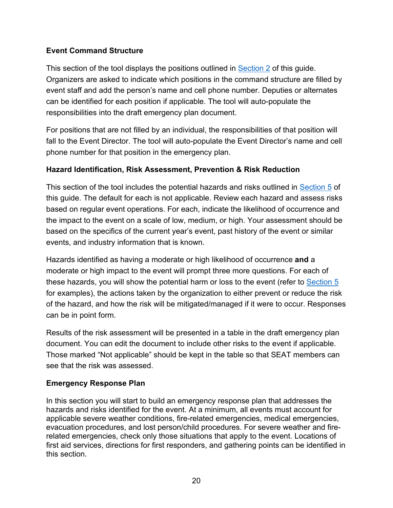#### **Event Command Structure**

This section of the tool displays the positions outlined in [Section 2](#page-6-2) of this guide. Organizers are asked to indicate which positions in the command structure are filled by event staff and add the person's name and cell phone number. Deputies or alternates can be identified for each position if applicable. The tool will auto-populate the responsibilities into the draft emergency plan document.

For positions that are not filled by an individual, the responsibilities of that position will fall to the Event Director. The tool will auto-populate the Event Director's name and cell phone number for that position in the emergency plan.

#### **Hazard Identification, Risk Assessment, Prevention & Risk Reduction**

This section of the tool includes the potential hazards and risks outlined in [Section 5](#page-22-1) of this guide. The default for each is not applicable. Review each hazard and assess risks based on regular event operations. For each, indicate the likelihood of occurrence and the impact to the event on a scale of low, medium, or high. Your assessment should be based on the specifics of the current year's event, past history of the event or similar events, and industry information that is known.

Hazards identified as having a moderate or high likelihood of occurrence **and** a moderate or high impact to the event will prompt three more questions. For each of these hazards, you will show the potential harm or loss to the event (refer to [Section 5](#page-22-1) for examples), the actions taken by the organization to either prevent or reduce the risk of the hazard, and how the risk will be mitigated/managed if it were to occur. Responses can be in point form.

Results of the risk assessment will be presented in a table in the draft emergency plan document. You can edit the document to include other risks to the event if applicable. Those marked "Not applicable" should be kept in the table so that SEAT members can see that the risk was assessed.

#### **Emergency Response Plan**

In this section you will start to build an emergency response plan that addresses the hazards and risks identified for the event. At a minimum, all events must account for applicable severe weather conditions, fire-related emergencies, medical emergencies, evacuation procedures, and lost person/child procedures. For severe weather and firerelated emergencies, check only those situations that apply to the event. Locations of first aid services, directions for first responders, and gathering points can be identified in this section.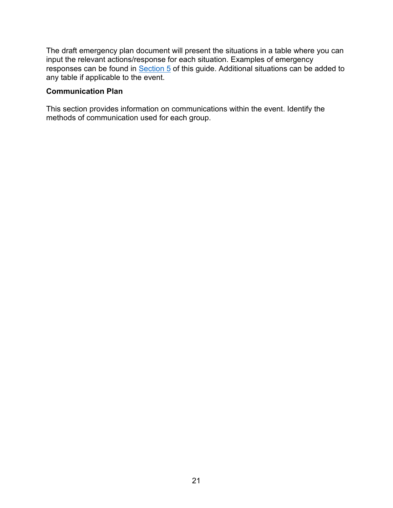The draft emergency plan document will present the situations in a table where you can input the relevant actions/response for each situation. Examples of emergency responses can be found in <u>Section 5</u> of this guide. Additional situations can be added to any table if applicable to the event.

#### **Communication Plan**

This section provides information on communications within the event. Identify the methods of communication used for each group.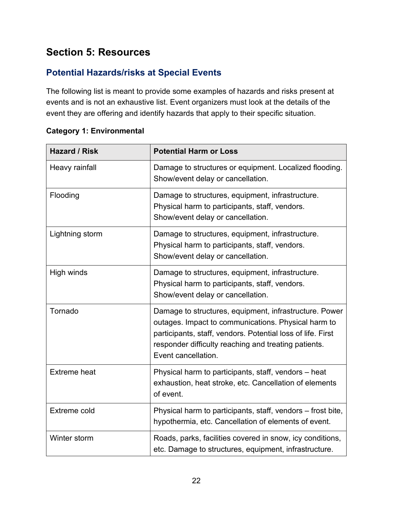### <span id="page-22-0"></span>**Section 5: Resources**

### <span id="page-22-1"></span>**Potential Hazards/risks at Special Events**

The following list is meant to provide some examples of hazards and risks present at events and is not an exhaustive list. Event organizers must look at the details of the event they are offering and identify hazards that apply to their specific situation.

| <b>Hazard / Risk</b> | <b>Potential Harm or Loss</b>                                                                                                                                                                                                                               |
|----------------------|-------------------------------------------------------------------------------------------------------------------------------------------------------------------------------------------------------------------------------------------------------------|
| Heavy rainfall       | Damage to structures or equipment. Localized flooding.<br>Show/event delay or cancellation.                                                                                                                                                                 |
| Flooding             | Damage to structures, equipment, infrastructure.<br>Physical harm to participants, staff, vendors.<br>Show/event delay or cancellation.                                                                                                                     |
| Lightning storm      | Damage to structures, equipment, infrastructure.<br>Physical harm to participants, staff, vendors.<br>Show/event delay or cancellation.                                                                                                                     |
| High winds           | Damage to structures, equipment, infrastructure.<br>Physical harm to participants, staff, vendors.<br>Show/event delay or cancellation.                                                                                                                     |
| Tornado              | Damage to structures, equipment, infrastructure. Power<br>outages. Impact to communications. Physical harm to<br>participants, staff, vendors. Potential loss of life. First<br>responder difficulty reaching and treating patients.<br>Event cancellation. |
| <b>Extreme heat</b>  | Physical harm to participants, staff, vendors - heat<br>exhaustion, heat stroke, etc. Cancellation of elements<br>of event.                                                                                                                                 |
| Extreme cold         | Physical harm to participants, staff, vendors – frost bite,<br>hypothermia, etc. Cancellation of elements of event.                                                                                                                                         |
| Winter storm         | Roads, parks, facilities covered in snow, icy conditions,<br>etc. Damage to structures, equipment, infrastructure.                                                                                                                                          |

### **Category 1: Environmental**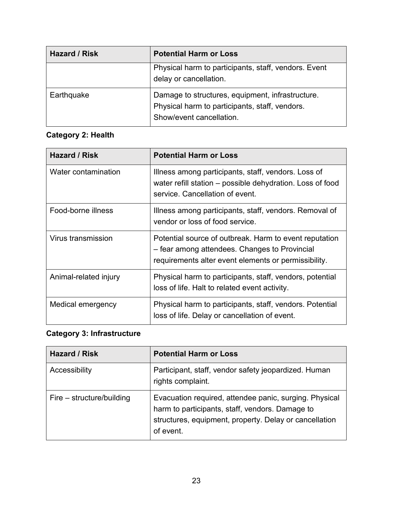| Hazard / Risk | <b>Potential Harm or Loss</b>                                                                                                  |
|---------------|--------------------------------------------------------------------------------------------------------------------------------|
|               | Physical harm to participants, staff, vendors. Event<br>delay or cancellation.                                                 |
| Earthquake    | Damage to structures, equipment, infrastructure.<br>Physical harm to participants, staff, vendors.<br>Show/event cancellation. |

### **Category 2: Health**

| <b>Hazard / Risk</b>  | <b>Potential Harm or Loss</b>                                                                                                                                   |
|-----------------------|-----------------------------------------------------------------------------------------------------------------------------------------------------------------|
| Water contamination   | Illness among participants, staff, vendors. Loss of<br>water refill station – possible dehydration. Loss of food<br>service. Cancellation of event.             |
| Food-borne illness    | Illness among participants, staff, vendors. Removal of<br>vendor or loss of food service.                                                                       |
| Virus transmission    | Potential source of outbreak. Harm to event reputation<br>- fear among attendees. Changes to Provincial<br>requirements alter event elements or permissibility. |
| Animal-related injury | Physical harm to participants, staff, vendors, potential<br>loss of life. Halt to related event activity.                                                       |
| Medical emergency     | Physical harm to participants, staff, vendors. Potential<br>loss of life. Delay or cancellation of event.                                                       |

### **Category 3: Infrastructure**

| Hazard / Risk               | <b>Potential Harm or Loss</b>                                                                                                                                                    |
|-----------------------------|----------------------------------------------------------------------------------------------------------------------------------------------------------------------------------|
| Accessibility               | Participant, staff, vendor safety jeopardized. Human<br>rights complaint.                                                                                                        |
| $Fire - structure/building$ | Evacuation required, attendee panic, surging. Physical<br>harm to participants, staff, vendors. Damage to<br>structures, equipment, property. Delay or cancellation<br>of event. |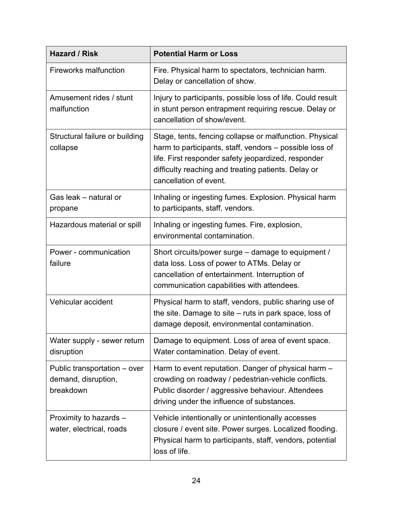| <b>Hazard / Risk</b>                                             | <b>Potential Harm or Loss</b>                                                                                                                                                                                                                              |
|------------------------------------------------------------------|------------------------------------------------------------------------------------------------------------------------------------------------------------------------------------------------------------------------------------------------------------|
| <b>Fireworks malfunction</b>                                     | Fire. Physical harm to spectators, technician harm.<br>Delay or cancellation of show.                                                                                                                                                                      |
| Amusement rides / stunt<br>malfunction                           | Injury to participants, possible loss of life. Could result<br>in stunt person entrapment requiring rescue. Delay or<br>cancellation of show/event.                                                                                                        |
| Structural failure or building<br>collapse                       | Stage, tents, fencing collapse or malfunction. Physical<br>harm to participants, staff, vendors – possible loss of<br>life. First responder safety jeopardized, responder<br>difficulty reaching and treating patients. Delay or<br>cancellation of event. |
| Gas leak – natural or<br>propane                                 | Inhaling or ingesting fumes. Explosion. Physical harm<br>to participants, staff, vendors.                                                                                                                                                                  |
| Hazardous material or spill                                      | Inhaling or ingesting fumes. Fire, explosion,<br>environmental contamination.                                                                                                                                                                              |
| Power - communication<br>failure                                 | Short circuits/power surge – damage to equipment /<br>data loss. Loss of power to ATMs. Delay or<br>cancellation of entertainment. Interruption of<br>communication capabilities with attendees.                                                           |
| Vehicular accident                                               | Physical harm to staff, vendors, public sharing use of<br>the site. Damage to site $-$ ruts in park space, loss of<br>damage deposit, environmental contamination.                                                                                         |
| Water supply - sewer return<br>disruption                        | Damage to equipment. Loss of area of event space.<br>Water contamination. Delay of event.                                                                                                                                                                  |
| Public transportation – over<br>demand, disruption,<br>breakdown | Harm to event reputation. Danger of physical harm -<br>crowding on roadway / pedestrian-vehicle conflicts.<br>Public disorder / aggressive behaviour. Attendees<br>driving under the influence of substances.                                              |
| Proximity to hazards -<br>water, electrical, roads               | Vehicle intentionally or unintentionally accesses<br>closure / event site. Power surges. Localized flooding.<br>Physical harm to participants, staff, vendors, potential<br>loss of life.                                                                  |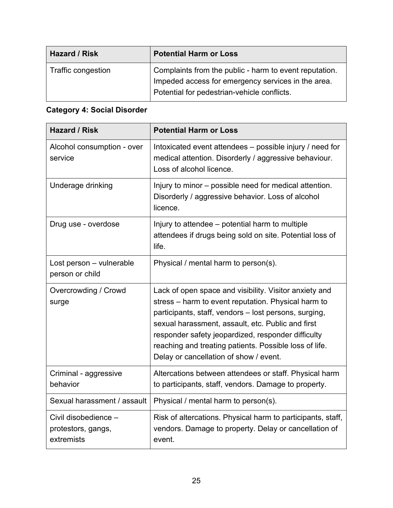| Hazard / Risk      | <b>Potential Harm or Loss</b>                                                                                                                               |
|--------------------|-------------------------------------------------------------------------------------------------------------------------------------------------------------|
| Traffic congestion | Complaints from the public - harm to event reputation.<br>Impeded access for emergency services in the area.<br>Potential for pedestrian-vehicle conflicts. |

### **Category 4: Social Disorder**

| <b>Hazard / Risk</b>                                     | <b>Potential Harm or Loss</b>                                                                                                                                                                                                                                                                                                                                                         |
|----------------------------------------------------------|---------------------------------------------------------------------------------------------------------------------------------------------------------------------------------------------------------------------------------------------------------------------------------------------------------------------------------------------------------------------------------------|
| Alcohol consumption - over<br>service                    | Intoxicated event attendees – possible injury / need for<br>medical attention. Disorderly / aggressive behaviour.<br>Loss of alcohol licence.                                                                                                                                                                                                                                         |
| Underage drinking                                        | Injury to minor – possible need for medical attention.<br>Disorderly / aggressive behavior. Loss of alcohol<br>licence.                                                                                                                                                                                                                                                               |
| Drug use - overdose                                      | Injury to attendee – potential harm to multiple<br>attendees if drugs being sold on site. Potential loss of<br>life.                                                                                                                                                                                                                                                                  |
| Lost person - vulnerable<br>person or child              | Physical / mental harm to person(s).                                                                                                                                                                                                                                                                                                                                                  |
| Overcrowding / Crowd<br>surge                            | Lack of open space and visibility. Visitor anxiety and<br>stress – harm to event reputation. Physical harm to<br>participants, staff, vendors - lost persons, surging,<br>sexual harassment, assault, etc. Public and first<br>responder safety jeopardized, responder difficulty<br>reaching and treating patients. Possible loss of life.<br>Delay or cancellation of show / event. |
| Criminal - aggressive<br>behavior                        | Altercations between attendees or staff. Physical harm<br>to participants, staff, vendors. Damage to property.                                                                                                                                                                                                                                                                        |
| Sexual harassment / assault                              | Physical / mental harm to person(s).                                                                                                                                                                                                                                                                                                                                                  |
| Civil disobedience -<br>protestors, gangs,<br>extremists | Risk of altercations. Physical harm to participants, staff,<br>vendors. Damage to property. Delay or cancellation of<br>event.                                                                                                                                                                                                                                                        |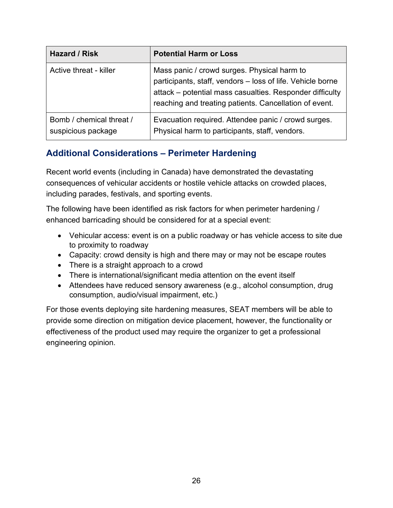| Hazard / Risk                                  | <b>Potential Harm or Loss</b>                                                                                                                                                                                                   |
|------------------------------------------------|---------------------------------------------------------------------------------------------------------------------------------------------------------------------------------------------------------------------------------|
| Active threat - killer                         | Mass panic / crowd surges. Physical harm to<br>participants, staff, vendors - loss of life. Vehicle borne<br>attack - potential mass casualties. Responder difficulty<br>reaching and treating patients. Cancellation of event. |
| Bomb / chemical threat /<br>suspicious package | Evacuation required. Attendee panic / crowd surges.<br>Physical harm to participants, staff, vendors.                                                                                                                           |

### <span id="page-26-0"></span>**Additional Considerations – Perimeter Hardening**

Recent world events (including in Canada) have demonstrated the devastating consequences of vehicular accidents or hostile vehicle attacks on crowded places, including parades, festivals, and sporting events.

The following have been identified as risk factors for when perimeter hardening / enhanced barricading should be considered for at a special event:

- Vehicular access: event is on a public roadway or has vehicle access to site due to proximity to roadway
- Capacity: crowd density is high and there may or may not be escape routes
- There is a straight approach to a crowd
- There is international/significant media attention on the event itself
- Attendees have reduced sensory awareness (e.g., alcohol consumption, drug consumption, audio/visual impairment, etc.)

For those events deploying site hardening measures, SEAT members will be able to provide some direction on mitigation device placement, however, the functionality or effectiveness of the product used may require the organizer to get a professional engineering opinion.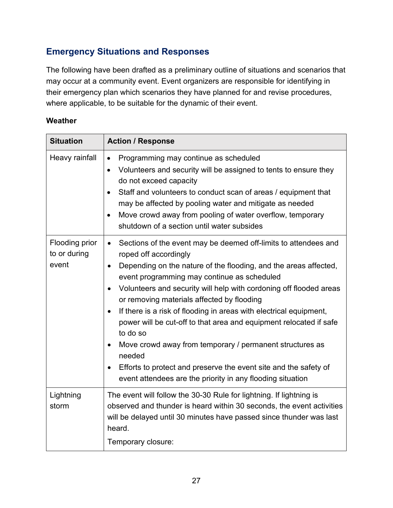### <span id="page-27-0"></span>**Emergency Situations and Responses**

The following have been drafted as a preliminary outline of situations and scenarios that may occur at a community event. Event organizers are responsible for identifying in their emergency plan which scenarios they have planned for and revise procedures, where applicable, to be suitable for the dynamic of their event.

#### **Weather**

| <b>Situation</b>                        | <b>Action / Response</b>                                                                                                                                                                                                                                                                                                                                                                                                                                                                                                                                                                                                                                                                                                                                         |
|-----------------------------------------|------------------------------------------------------------------------------------------------------------------------------------------------------------------------------------------------------------------------------------------------------------------------------------------------------------------------------------------------------------------------------------------------------------------------------------------------------------------------------------------------------------------------------------------------------------------------------------------------------------------------------------------------------------------------------------------------------------------------------------------------------------------|
| Heavy rainfall                          | Programming may continue as scheduled<br>$\bullet$<br>Volunteers and security will be assigned to tents to ensure they<br>$\bullet$<br>do not exceed capacity<br>Staff and volunteers to conduct scan of areas / equipment that<br>$\bullet$<br>may be affected by pooling water and mitigate as needed<br>Move crowd away from pooling of water overflow, temporary<br>$\bullet$<br>shutdown of a section until water subsides                                                                                                                                                                                                                                                                                                                                  |
| Flooding prior<br>to or during<br>event | Sections of the event may be deemed off-limits to attendees and<br>$\bullet$<br>roped off accordingly<br>Depending on the nature of the flooding, and the areas affected,<br>$\bullet$<br>event programming may continue as scheduled<br>Volunteers and security will help with cordoning off flooded areas<br>$\bullet$<br>or removing materials affected by flooding<br>If there is a risk of flooding in areas with electrical equipment,<br>$\bullet$<br>power will be cut-off to that area and equipment relocated if safe<br>to do so<br>Move crowd away from temporary / permanent structures as<br>$\bullet$<br>needed<br>Efforts to protect and preserve the event site and the safety of<br>event attendees are the priority in any flooding situation |
| Lightning<br>storm                      | The event will follow the 30-30 Rule for lightning. If lightning is<br>observed and thunder is heard within 30 seconds, the event activities<br>will be delayed until 30 minutes have passed since thunder was last<br>heard.<br>Temporary closure:                                                                                                                                                                                                                                                                                                                                                                                                                                                                                                              |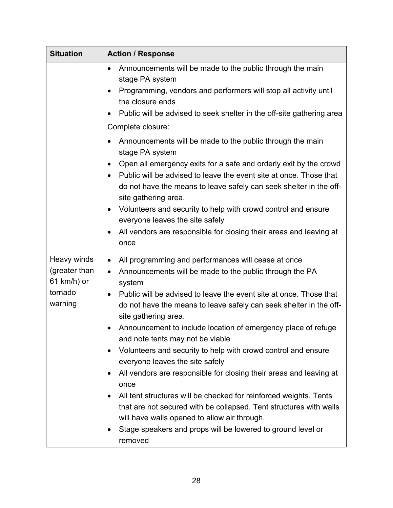| <b>Situation</b>                                         | <b>Action / Response</b>                                                                                                                                                                                                                                        |
|----------------------------------------------------------|-----------------------------------------------------------------------------------------------------------------------------------------------------------------------------------------------------------------------------------------------------------------|
|                                                          | Announcements will be made to the public through the main<br>$\bullet$<br>stage PA system<br>Programming, vendors and performers will stop all activity until<br>the closure ends<br>Public will be advised to seek shelter in the off-site gathering area      |
|                                                          | Complete closure:                                                                                                                                                                                                                                               |
|                                                          | Announcements will be made to the public through the main<br>stage PA system                                                                                                                                                                                    |
|                                                          | Open all emergency exits for a safe and orderly exit by the crowd<br>$\bullet$<br>Public will be advised to leave the event site at once. Those that<br>$\bullet$<br>do not have the means to leave safely can seek shelter in the off-<br>site gathering area. |
|                                                          | Volunteers and security to help with crowd control and ensure<br>$\bullet$<br>everyone leaves the site safely                                                                                                                                                   |
|                                                          | All vendors are responsible for closing their areas and leaving at<br>$\bullet$<br>once                                                                                                                                                                         |
| Heavy winds<br>(greater than<br>$61$ km/h) or<br>tornado | All programming and performances will cease at once<br>$\bullet$<br>Announcements will be made to the public through the PA<br>$\bullet$<br>system<br>Public will be advised to leave the event site at once. Those that<br>$\bullet$                           |
| warning                                                  | do not have the means to leave safely can seek shelter in the off-<br>site gathering area.                                                                                                                                                                      |
|                                                          | Announcement to include location of emergency place of refuge<br>and note tents may not be viable                                                                                                                                                               |
|                                                          | Volunteers and security to help with crowd control and ensure<br>everyone leaves the site safely                                                                                                                                                                |
|                                                          | All vendors are responsible for closing their areas and leaving at<br>٠<br>once                                                                                                                                                                                 |
|                                                          | All tent structures will be checked for reinforced weights. Tents<br>that are not secured with be collapsed. Tent structures with walls<br>will have walls opened to allow air through.                                                                         |
|                                                          | Stage speakers and props will be lowered to ground level or<br>removed                                                                                                                                                                                          |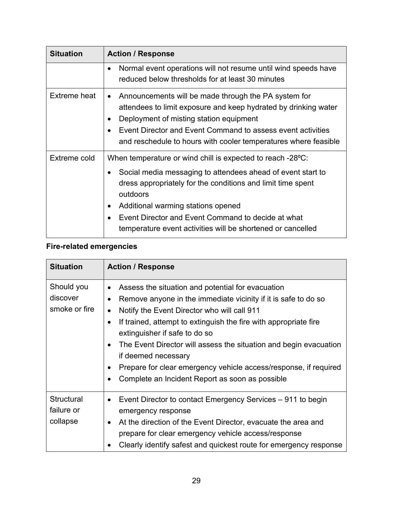| <b>Situation</b> | <b>Action / Response</b>                                                                                                                                                                                                                                                                                                                                                      |
|------------------|-------------------------------------------------------------------------------------------------------------------------------------------------------------------------------------------------------------------------------------------------------------------------------------------------------------------------------------------------------------------------------|
|                  | Normal event operations will not resume until wind speeds have<br>$\bullet$<br>reduced below thresholds for at least 30 minutes                                                                                                                                                                                                                                               |
| Extreme heat     | Announcements will be made through the PA system for<br>$\bullet$<br>attendees to limit exposure and keep hydrated by drinking water<br>Deployment of misting station equipment<br>$\bullet$<br>Event Director and Event Command to assess event activities<br>$\bullet$<br>and reschedule to hours with cooler temperatures where feasible                                   |
| Extreme cold     | When temperature or wind chill is expected to reach -28 °C:<br>Social media messaging to attendees ahead of event start to<br>dress appropriately for the conditions and limit time spent<br>outdoors<br>Additional warming stations opened<br>$\bullet$<br>Event Director and Event Command to decide at what<br>temperature event activities will be shortened or cancelled |

### **Fire-related emergencies**

| <b>Situation</b>                            | <b>Action / Response</b>                                                                                                                                                                                                                                                                                                                                                                                                                                                                                                                                    |
|---------------------------------------------|-------------------------------------------------------------------------------------------------------------------------------------------------------------------------------------------------------------------------------------------------------------------------------------------------------------------------------------------------------------------------------------------------------------------------------------------------------------------------------------------------------------------------------------------------------------|
| Should you<br>discover<br>smoke or fire     | Assess the situation and potential for evacuation<br>$\bullet$<br>Remove anyone in the immediate vicinity if it is safe to do so<br>$\bullet$<br>Notify the Event Director who will call 911<br>$\bullet$<br>If trained, attempt to extinguish the fire with appropriate fire<br>$\bullet$<br>extinguisher if safe to do so<br>The Event Director will assess the situation and begin evacuation<br>$\bullet$<br>if deemed necessary<br>Prepare for clear emergency vehicle access/response, if required<br>Complete an Incident Report as soon as possible |
| <b>Structural</b><br>failure or<br>collapse | Event Director to contact Emergency Services – 911 to begin<br>$\bullet$<br>emergency response<br>At the direction of the Event Director, evacuate the area and<br>$\bullet$<br>prepare for clear emergency vehicle access/response<br>Clearly identify safest and quickest route for emergency response                                                                                                                                                                                                                                                    |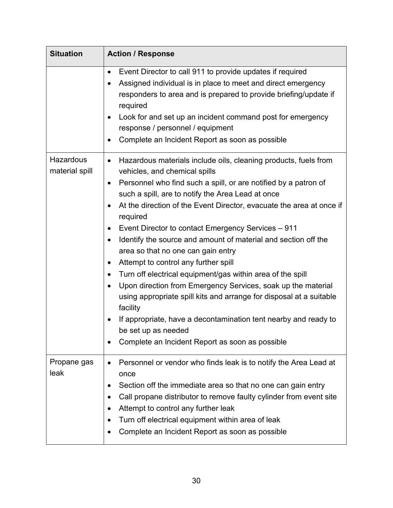| <b>Situation</b>            | <b>Action / Response</b>                                                                                                                                                                                                                                                                                                                                                                                                                                                                                                                                                                                                                                                                                                                                                                                                                                                                                                                                       |
|-----------------------------|----------------------------------------------------------------------------------------------------------------------------------------------------------------------------------------------------------------------------------------------------------------------------------------------------------------------------------------------------------------------------------------------------------------------------------------------------------------------------------------------------------------------------------------------------------------------------------------------------------------------------------------------------------------------------------------------------------------------------------------------------------------------------------------------------------------------------------------------------------------------------------------------------------------------------------------------------------------|
|                             | Event Director to call 911 to provide updates if required<br>$\bullet$<br>Assigned individual is in place to meet and direct emergency<br>٠<br>responders to area and is prepared to provide briefing/update if<br>required<br>Look for and set up an incident command post for emergency<br>$\bullet$<br>response / personnel / equipment<br>Complete an Incident Report as soon as possible<br>٠                                                                                                                                                                                                                                                                                                                                                                                                                                                                                                                                                             |
| Hazardous<br>material spill | Hazardous materials include oils, cleaning products, fuels from<br>$\bullet$<br>vehicles, and chemical spills<br>Personnel who find such a spill, or are notified by a patron of<br>$\bullet$<br>such a spill, are to notify the Area Lead at once<br>At the direction of the Event Director, evacuate the area at once if<br>$\bullet$<br>required<br>Event Director to contact Emergency Services - 911<br>$\bullet$<br>Identify the source and amount of material and section off the<br>$\bullet$<br>area so that no one can gain entry<br>Attempt to control any further spill<br>$\bullet$<br>Turn off electrical equipment/gas within area of the spill<br>Upon direction from Emergency Services, soak up the material<br>using appropriate spill kits and arrange for disposal at a suitable<br>facility<br>If appropriate, have a decontamination tent nearby and ready to<br>be set up as needed<br>Complete an Incident Report as soon as possible |
| Propane gas<br>leak         | Personnel or vendor who finds leak is to notify the Area Lead at<br>once<br>Section off the immediate area so that no one can gain entry<br>Call propane distributor to remove faulty cylinder from event site<br>Attempt to control any further leak<br>Turn off electrical equipment within area of leak<br>Complete an Incident Report as soon as possible                                                                                                                                                                                                                                                                                                                                                                                                                                                                                                                                                                                                  |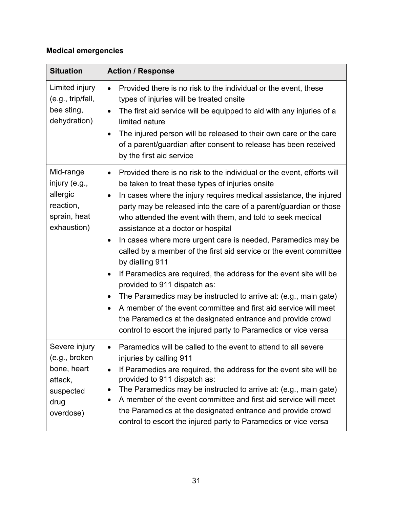### **Medical emergencies**

| <b>Situation</b>                                                                           | <b>Action / Response</b>                                                                                                                                                                                                                                                                                                                                                                                                                                                                                                                                                                                                                                                                                                                                                                                                                                                                                                                                                                |
|--------------------------------------------------------------------------------------------|-----------------------------------------------------------------------------------------------------------------------------------------------------------------------------------------------------------------------------------------------------------------------------------------------------------------------------------------------------------------------------------------------------------------------------------------------------------------------------------------------------------------------------------------------------------------------------------------------------------------------------------------------------------------------------------------------------------------------------------------------------------------------------------------------------------------------------------------------------------------------------------------------------------------------------------------------------------------------------------------|
| Limited injury<br>(e.g., trip/fall,<br>bee sting,<br>dehydration)                          | Provided there is no risk to the individual or the event, these<br>types of injuries will be treated onsite<br>The first aid service will be equipped to aid with any injuries of a<br>$\bullet$<br>limited nature<br>The injured person will be released to their own care or the care<br>$\bullet$<br>of a parent/guardian after consent to release has been received<br>by the first aid service                                                                                                                                                                                                                                                                                                                                                                                                                                                                                                                                                                                     |
| Mid-range<br>injury (e.g.,<br>allergic<br>reaction,<br>sprain, heat<br>exhaustion)         | Provided there is no risk to the individual or the event, efforts will<br>$\bullet$<br>be taken to treat these types of injuries onsite<br>In cases where the injury requires medical assistance, the injured<br>$\bullet$<br>party may be released into the care of a parent/guardian or those<br>who attended the event with them, and told to seek medical<br>assistance at a doctor or hospital<br>In cases where more urgent care is needed, Paramedics may be<br>٠<br>called by a member of the first aid service or the event committee<br>by dialling 911<br>If Paramedics are required, the address for the event site will be<br>$\bullet$<br>provided to 911 dispatch as:<br>The Paramedics may be instructed to arrive at: (e.g., main gate)<br>$\bullet$<br>A member of the event committee and first aid service will meet<br>$\bullet$<br>the Paramedics at the designated entrance and provide crowd<br>control to escort the injured party to Paramedics or vice versa |
| Severe injury<br>(e.g., broken<br>bone, heart<br>attack,<br>suspected<br>drug<br>overdose) | Paramedics will be called to the event to attend to all severe<br>injuries by calling 911<br>If Paramedics are required, the address for the event site will be<br>$\bullet$<br>provided to 911 dispatch as:<br>The Paramedics may be instructed to arrive at: (e.g., main gate)<br>A member of the event committee and first aid service will meet<br>$\bullet$<br>the Paramedics at the designated entrance and provide crowd<br>control to escort the injured party to Paramedics or vice versa                                                                                                                                                                                                                                                                                                                                                                                                                                                                                      |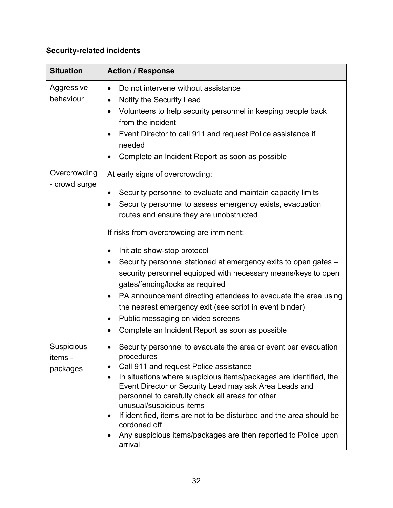### **Security-related incidents**

| <b>Situation</b>                  | <b>Action / Response</b>                                                                                                                                                                                                                                                                                                                                                                                                                                                                                                                                                                                                                                                                                       |
|-----------------------------------|----------------------------------------------------------------------------------------------------------------------------------------------------------------------------------------------------------------------------------------------------------------------------------------------------------------------------------------------------------------------------------------------------------------------------------------------------------------------------------------------------------------------------------------------------------------------------------------------------------------------------------------------------------------------------------------------------------------|
| Aggressive<br>behaviour           | Do not intervene without assistance<br>$\bullet$<br>Notify the Security Lead<br>$\bullet$<br>Volunteers to help security personnel in keeping people back<br>٠<br>from the incident<br>Event Director to call 911 and request Police assistance if<br>needed<br>Complete an Incident Report as soon as possible                                                                                                                                                                                                                                                                                                                                                                                                |
| Overcrowding<br>- crowd surge     | At early signs of overcrowding:<br>Security personnel to evaluate and maintain capacity limits<br>Security personnel to assess emergency exists, evacuation<br>٠<br>routes and ensure they are unobstructed<br>If risks from overcrowding are imminent:<br>Initiate show-stop protocol<br>٠<br>Security personnel stationed at emergency exits to open gates -<br>٠<br>security personnel equipped with necessary means/keys to open<br>gates/fencing/locks as required<br>PA announcement directing attendees to evacuate the area using<br>$\bullet$<br>the nearest emergency exit (see script in event binder)<br>Public messaging on video screens<br>٠<br>Complete an Incident Report as soon as possible |
| Suspicious<br>items -<br>packages | Security personnel to evacuate the area or event per evacuation<br>procedures<br>Call 911 and request Police assistance<br>In situations where suspicious items/packages are identified, the<br>$\bullet$<br>Event Director or Security Lead may ask Area Leads and<br>personnel to carefully check all areas for other<br>unusual/suspicious items<br>If identified, items are not to be disturbed and the area should be<br>$\bullet$<br>cordoned off<br>Any suspicious items/packages are then reported to Police upon<br>arrival                                                                                                                                                                           |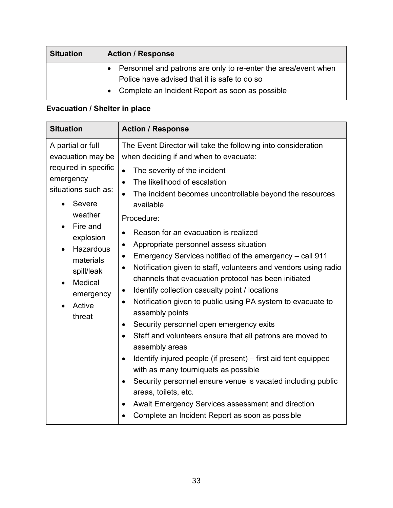| <b>Situation</b> | <b>Action / Response</b>                                                                                         |
|------------------|------------------------------------------------------------------------------------------------------------------|
|                  | • Personnel and patrons are only to re-enter the area/event when<br>Police have advised that it is safe to do so |
|                  | • Complete an Incident Report as soon as possible                                                                |

### **Evacuation / Shelter in place**

| <b>Situation</b>                                                                                                                                                                                                                                         | <b>Action / Response</b>                                                                                                                                                                                                                                                                                                                                                                                                                                                                                                                                                                                                                                                                                                                                                                                                                                                                                                                                                                                                                                                                                                                                                             |
|----------------------------------------------------------------------------------------------------------------------------------------------------------------------------------------------------------------------------------------------------------|--------------------------------------------------------------------------------------------------------------------------------------------------------------------------------------------------------------------------------------------------------------------------------------------------------------------------------------------------------------------------------------------------------------------------------------------------------------------------------------------------------------------------------------------------------------------------------------------------------------------------------------------------------------------------------------------------------------------------------------------------------------------------------------------------------------------------------------------------------------------------------------------------------------------------------------------------------------------------------------------------------------------------------------------------------------------------------------------------------------------------------------------------------------------------------------|
| A partial or full<br>evacuation may be<br>required in specific<br>emergency<br>situations such as:<br><b>Severe</b><br>weather<br>Fire and<br>explosion<br>Hazardous<br>materials<br>spill/leak<br>Medical<br>$\bullet$<br>emergency<br>Active<br>threat | The Event Director will take the following into consideration<br>when deciding if and when to evacuate:<br>The severity of the incident<br>The likelihood of escalation<br>$\bullet$<br>The incident becomes uncontrollable beyond the resources<br>$\bullet$<br>available<br>Procedure:<br>Reason for an evacuation is realized<br>$\bullet$<br>Appropriate personnel assess situation<br>Emergency Services notified of the emergency - call 911<br>$\bullet$<br>Notification given to staff, volunteers and vendors using radio<br>$\bullet$<br>channels that evacuation protocol has been initiated<br>Identify collection casualty point / locations<br>$\bullet$<br>Notification given to public using PA system to evacuate to<br>$\bullet$<br>assembly points<br>Security personnel open emergency exits<br>Staff and volunteers ensure that all patrons are moved to<br>$\bullet$<br>assembly areas<br>Identify injured people (if present) – first aid tent equipped<br>$\bullet$<br>with as many tourniquets as possible<br>Security personnel ensure venue is vacated including public<br>areas, toilets, etc.<br>Await Emergency Services assessment and direction<br>٠ |
|                                                                                                                                                                                                                                                          | Complete an Incident Report as soon as possible                                                                                                                                                                                                                                                                                                                                                                                                                                                                                                                                                                                                                                                                                                                                                                                                                                                                                                                                                                                                                                                                                                                                      |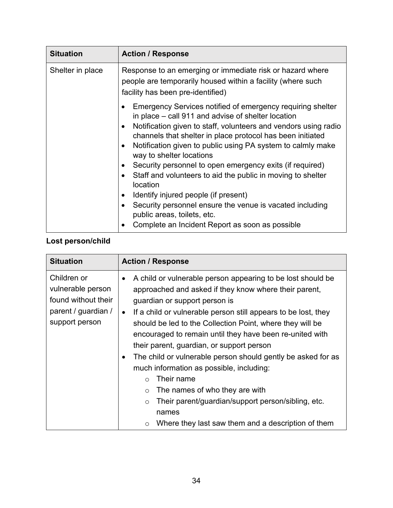| <b>Situation</b> | <b>Action / Response</b>                                                                                                                                                                                                                                                                                                                                                                                                                                                                                                                                                                                                                                                  |
|------------------|---------------------------------------------------------------------------------------------------------------------------------------------------------------------------------------------------------------------------------------------------------------------------------------------------------------------------------------------------------------------------------------------------------------------------------------------------------------------------------------------------------------------------------------------------------------------------------------------------------------------------------------------------------------------------|
| Shelter in place | Response to an emerging or immediate risk or hazard where<br>people are temporarily housed within a facility (where such<br>facility has been pre-identified)                                                                                                                                                                                                                                                                                                                                                                                                                                                                                                             |
|                  | Emergency Services notified of emergency requiring shelter<br>in place – call 911 and advise of shelter location<br>Notification given to staff, volunteers and vendors using radio<br>channels that shelter in place protocol has been initiated<br>Notification given to public using PA system to calmly make<br>way to shelter locations<br>Security personnel to open emergency exits (if required)<br>Staff and volunteers to aid the public in moving to shelter<br>location<br>Identify injured people (if present)<br>Security personnel ensure the venue is vacated including<br>public areas, toilets, etc.<br>Complete an Incident Report as soon as possible |

### **Lost person/child**

| <b>Situation</b>                                                                                 | <b>Action / Response</b>                                                                                                                                                                                                                                                                                                                                                                                                                                                                                                                                                                                                                                                                                                                    |
|--------------------------------------------------------------------------------------------------|---------------------------------------------------------------------------------------------------------------------------------------------------------------------------------------------------------------------------------------------------------------------------------------------------------------------------------------------------------------------------------------------------------------------------------------------------------------------------------------------------------------------------------------------------------------------------------------------------------------------------------------------------------------------------------------------------------------------------------------------|
| Children or<br>vulnerable person<br>found without their<br>parent / guardian /<br>support person | A child or vulnerable person appearing to be lost should be<br>approached and asked if they know where their parent,<br>guardian or support person is<br>• If a child or vulnerable person still appears to be lost, they<br>should be led to the Collection Point, where they will be<br>encouraged to remain until they have been re-united with<br>their parent, guardian, or support person<br>The child or vulnerable person should gently be asked for as<br>$\bullet$<br>much information as possible, including:<br>Their name<br>$\bigcap$<br>The names of who they are with<br>$\circ$<br>Their parent/guardian/support person/sibling, etc.<br>$\circ$<br>names<br>Where they last saw them and a description of them<br>$\circ$ |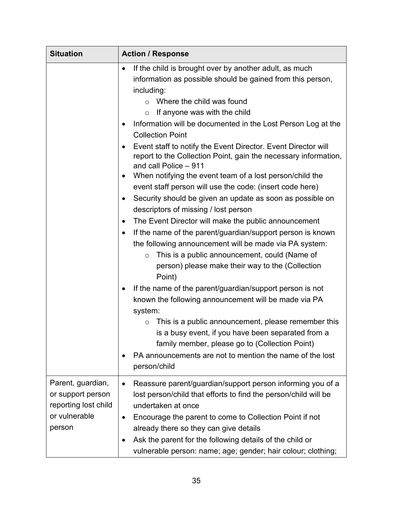| <b>Situation</b>                                                                | <b>Action / Response</b>                                                                                                                                                                                                                                                                                                         |
|---------------------------------------------------------------------------------|----------------------------------------------------------------------------------------------------------------------------------------------------------------------------------------------------------------------------------------------------------------------------------------------------------------------------------|
|                                                                                 | If the child is brought over by another adult, as much<br>information as possible should be gained from this person,<br>including:<br>Where the child was found<br>$\circ$<br>$\circ$ If anyone was with the child                                                                                                               |
|                                                                                 | Information will be documented in the Lost Person Log at the<br><b>Collection Point</b>                                                                                                                                                                                                                                          |
|                                                                                 | Event staff to notify the Event Director. Event Director will<br>report to the Collection Point, gain the necessary information,<br>and call Police - 911                                                                                                                                                                        |
|                                                                                 | When notifying the event team of a lost person/child the<br>event staff person will use the code: (insert code here)<br>Security should be given an update as soon as possible on<br>٠<br>descriptors of missing / lost person                                                                                                   |
|                                                                                 | The Event Director will make the public announcement<br>$\bullet$<br>If the name of the parent/guardian/support person is known<br>$\bullet$<br>the following announcement will be made via PA system:<br>This is a public announcement, could (Name of<br>$\circ$<br>person) please make their way to the (Collection<br>Point) |
|                                                                                 | If the name of the parent/guardian/support person is not<br>known the following announcement will be made via PA<br>system:                                                                                                                                                                                                      |
|                                                                                 | This is a public announcement, please remember this<br>$\circ$<br>is a busy event, if you have been separated from a<br>family member, please go to (Collection Point)<br>PA announcements are not to mention the name of the lost                                                                                               |
|                                                                                 | person/child                                                                                                                                                                                                                                                                                                                     |
| Parent, guardian,<br>or support person<br>reporting lost child<br>or vulnerable | Reassure parent/guardian/support person informing you of a<br>$\bullet$<br>lost person/child that efforts to find the person/child will be<br>undertaken at once<br>Encourage the parent to come to Collection Point if not                                                                                                      |
| person                                                                          | already there so they can give details<br>Ask the parent for the following details of the child or<br>$\bullet$<br>vulnerable person: name; age; gender; hair colour; clothing;                                                                                                                                                  |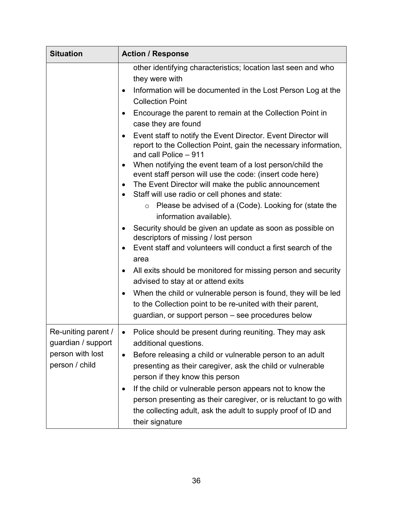| <b>Situation</b>                                                                | <b>Action / Response</b>                                                                                                                                                                                                                                                                                                                                                                                                                                                                                                                                                                                                                                                                                                                                                                                                                                                                                                                                                                                                                                                                                                                                                                                                                                               |
|---------------------------------------------------------------------------------|------------------------------------------------------------------------------------------------------------------------------------------------------------------------------------------------------------------------------------------------------------------------------------------------------------------------------------------------------------------------------------------------------------------------------------------------------------------------------------------------------------------------------------------------------------------------------------------------------------------------------------------------------------------------------------------------------------------------------------------------------------------------------------------------------------------------------------------------------------------------------------------------------------------------------------------------------------------------------------------------------------------------------------------------------------------------------------------------------------------------------------------------------------------------------------------------------------------------------------------------------------------------|
|                                                                                 | other identifying characteristics; location last seen and who<br>they were with<br>Information will be documented in the Lost Person Log at the<br><b>Collection Point</b><br>Encourage the parent to remain at the Collection Point in<br>case they are found<br>Event staff to notify the Event Director. Event Director will<br>report to the Collection Point, gain the necessary information,<br>and call Police - 911<br>When notifying the event team of a lost person/child the<br>$\bullet$<br>event staff person will use the code: (insert code here)<br>The Event Director will make the public announcement<br>Staff will use radio or cell phones and state:<br>$\bullet$<br>Please be advised of a (Code). Looking for (state the<br>$\circ$<br>information available).<br>Security should be given an update as soon as possible on<br>descriptors of missing / lost person<br>Event staff and volunteers will conduct a first search of the<br>area<br>All exits should be monitored for missing person and security<br>advised to stay at or attend exits<br>When the child or vulnerable person is found, they will be led<br>٠<br>to the Collection point to be re-united with their parent,<br>guardian, or support person – see procedures below |
| Re-uniting parent /<br>guardian / support<br>person with lost<br>person / child | • Police should be present during reuniting. They may ask<br>additional questions.<br>Before releasing a child or vulnerable person to an adult<br>$\bullet$<br>presenting as their caregiver, ask the child or vulnerable<br>person if they know this person<br>If the child or vulnerable person appears not to know the<br>٠<br>person presenting as their caregiver, or is reluctant to go with<br>the collecting adult, ask the adult to supply proof of ID and<br>their signature                                                                                                                                                                                                                                                                                                                                                                                                                                                                                                                                                                                                                                                                                                                                                                                |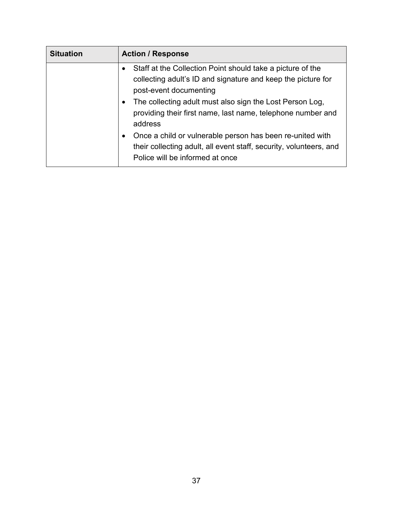| <b>Situation</b> | <b>Action / Response</b>                                                                                                                                                                                                                                                                                                                                                                                                                                                      |
|------------------|-------------------------------------------------------------------------------------------------------------------------------------------------------------------------------------------------------------------------------------------------------------------------------------------------------------------------------------------------------------------------------------------------------------------------------------------------------------------------------|
|                  | Staff at the Collection Point should take a picture of the<br>collecting adult's ID and signature and keep the picture for<br>post-event documenting<br>The collecting adult must also sign the Lost Person Log,<br>providing their first name, last name, telephone number and<br>address<br>Once a child or vulnerable person has been re-united with<br>$\bullet$<br>their collecting adult, all event staff, security, volunteers, and<br>Police will be informed at once |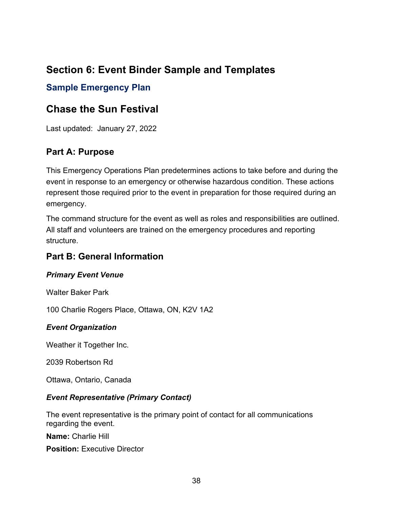### <span id="page-38-0"></span>**Section 6: Event Binder Sample and Templates**

### <span id="page-38-1"></span>**Sample Emergency Plan**

### **Chase the Sun Festival**

Last updated: January 27, 2022

### **Part A: Purpose**

This Emergency Operations Plan predetermines actions to take before and during the event in response to an emergency or otherwise hazardous condition. These actions represent those required prior to the event in preparation for those required during an emergency.

The command structure for the event as well as roles and responsibilities are outlined. All staff and volunteers are trained on the emergency procedures and reporting structure.

### **Part B: General Information**

### *Primary Event Venue*

Walter Baker Park

100 Charlie Rogers Place, Ottawa, ON, K2V 1A2

### *Event Organization*

Weather it Together Inc.

2039 Robertson Rd

Ottawa, Ontario, Canada

### *Event Representative (Primary Contact)*

The event representative is the primary point of contact for all communications regarding the event.

**Name:** Charlie Hill

**Position:** Executive Director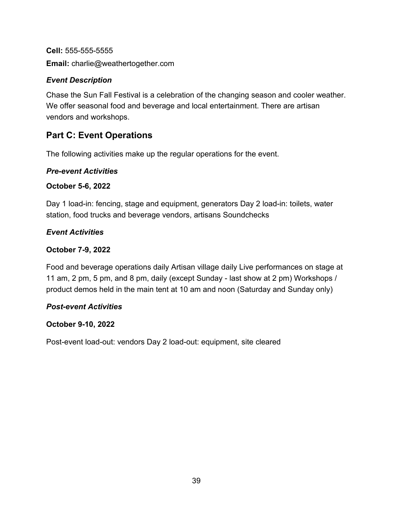**Cell:** 555-555-5555 **Email:** charlie@weathertogether.com

#### *Event Description*

Chase the Sun Fall Festival is a celebration of the changing season and cooler weather. We offer seasonal food and beverage and local entertainment. There are artisan vendors and workshops.

### **Part C: Event Operations**

The following activities make up the regular operations for the event.

#### *Pre-event Activities*

#### **October 5-6, 2022**

Day 1 load-in: fencing, stage and equipment, generators Day 2 load-in: toilets, water station, food trucks and beverage vendors, artisans Soundchecks

#### *Event Activities*

#### **October 7-9, 2022**

Food and beverage operations daily Artisan village daily Live performances on stage at 11 am, 2 pm, 5 pm, and 8 pm, daily (except Sunday - last show at 2 pm) Workshops / product demos held in the main tent at 10 am and noon (Saturday and Sunday only)

### *Post-event Activities*

### **October 9-10, 2022**

Post-event load-out: vendors Day 2 load-out: equipment, site cleared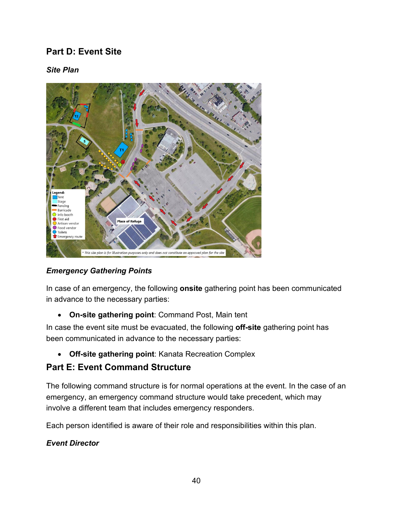### **Part D: Event Site**

#### *Site Plan*



### *Emergency Gathering Points*

In case of an emergency, the following **onsite** gathering point has been communicated in advance to the necessary parties:

#### • **On-site gathering point**: Command Post, Main tent

In case the event site must be evacuated, the following **off-site** gathering point has been communicated in advance to the necessary parties:

• **Off-site gathering point**: Kanata Recreation Complex

### **Part E: Event Command Structure**

The following command structure is for normal operations at the event. In the case of an emergency, an emergency command structure would take precedent, which may involve a different team that includes emergency responders.

Each person identified is aware of their role and responsibilities within this plan.

#### *Event Director*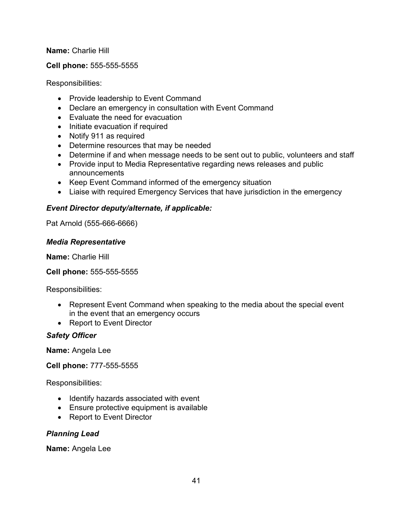#### **Name:** Charlie Hill

#### **Cell phone:** 555-555-5555

Responsibilities:

- Provide leadership to Event Command
- Declare an emergency in consultation with Event Command
- Evaluate the need for evacuation
- Initiate evacuation if required
- Notify 911 as required
- Determine resources that may be needed
- Determine if and when message needs to be sent out to public, volunteers and staff
- Provide input to Media Representative regarding news releases and public announcements
- Keep Event Command informed of the emergency situation
- Liaise with required Emergency Services that have jurisdiction in the emergency

#### *Event Director deputy/alternate, if applicable:*

Pat Arnold (555-666-6666)

#### *Media Representative*

**Name:** Charlie Hill

**Cell phone:** 555-555-5555

Responsibilities:

- Represent Event Command when speaking to the media about the special event in the event that an emergency occurs
- Report to Event Director

#### *Safety Officer*

**Name:** Angela Lee

**Cell phone:** 777-555-5555

Responsibilities:

- Identify hazards associated with event
- Ensure protective equipment is available
- Report to Event Director

#### *Planning Lead*

**Name:** Angela Lee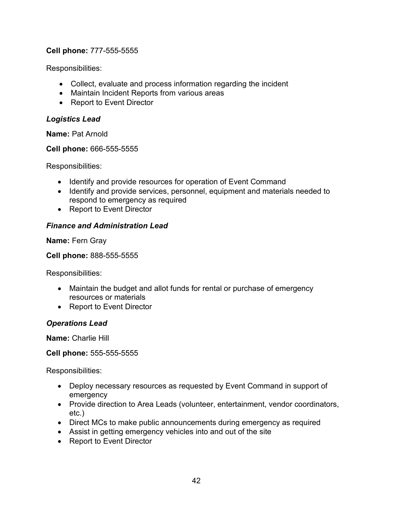**Cell phone:** 777-555-5555

Responsibilities:

- Collect, evaluate and process information regarding the incident
- Maintain Incident Reports from various areas
- Report to Event Director

#### *Logistics Lead*

**Name:** Pat Arnold

**Cell phone:** 666-555-5555

Responsibilities:

- Identify and provide resources for operation of Event Command
- Identify and provide services, personnel, equipment and materials needed to respond to emergency as required
- Report to Event Director

#### *Finance and Administration Lead*

**Name:** Fern Gray

**Cell phone:** 888-555-5555

Responsibilities:

- Maintain the budget and allot funds for rental or purchase of emergency resources or materials
- Report to Event Director

#### *Operations Lead*

**Name:** Charlie Hill

**Cell phone:** 555-555-5555

Responsibilities:

- Deploy necessary resources as requested by Event Command in support of emergency
- Provide direction to Area Leads (volunteer, entertainment, vendor coordinators, etc.)
- Direct MCs to make public announcements during emergency as required
- Assist in getting emergency vehicles into and out of the site
- Report to Event Director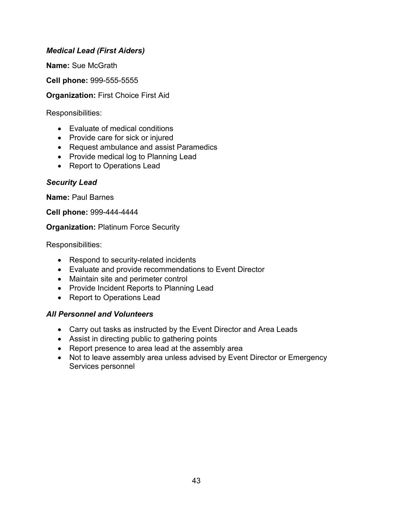#### *Medical Lead (First Aiders)*

**Name:** Sue McGrath

**Cell phone:** 999-555-5555

**Organization:** First Choice First Aid

Responsibilities:

- Evaluate of medical conditions
- Provide care for sick or injured
- Request ambulance and assist Paramedics
- Provide medical log to Planning Lead
- Report to Operations Lead

#### *Security Lead*

**Name:** Paul Barnes

**Cell phone:** 999-444-4444

**Organization:** Platinum Force Security

Responsibilities:

- Respond to security-related incidents
- Evaluate and provide recommendations to Event Director
- Maintain site and perimeter control
- Provide Incident Reports to Planning Lead
- Report to Operations Lead

#### *All Personnel and Volunteers*

- Carry out tasks as instructed by the Event Director and Area Leads
- Assist in directing public to gathering points
- Report presence to area lead at the assembly area
- Not to leave assembly area unless advised by Event Director or Emergency Services personnel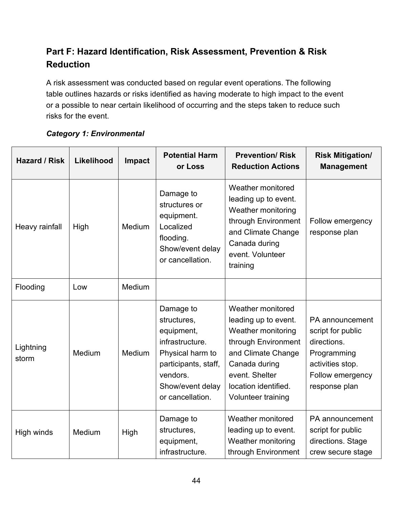### **Part F: Hazard Identification, Risk Assessment, Prevention & Risk Reduction**

A risk assessment was conducted based on regular event operations. The following table outlines hazards or risks identified as having moderate to high impact to the event or a possible to near certain likelihood of occurring and the steps taken to reduce such risks for the event.

| <b>Hazard / Risk</b> | Likelihood | Impact | <b>Potential Harm</b><br>or Loss                                                                                                                          | <b>Prevention/ Risk</b><br><b>Reduction Actions</b>                                                                                                                                                  | <b>Risk Mitigation/</b><br><b>Management</b>                                                                                |
|----------------------|------------|--------|-----------------------------------------------------------------------------------------------------------------------------------------------------------|------------------------------------------------------------------------------------------------------------------------------------------------------------------------------------------------------|-----------------------------------------------------------------------------------------------------------------------------|
| Heavy rainfall       | High       | Medium | Damage to<br>structures or<br>equipment.<br>Localized<br>flooding.<br>Show/event delay<br>or cancellation.                                                | <b>Weather monitored</b><br>leading up to event.<br>Weather monitoring<br>through Environment<br>and Climate Change<br>Canada during<br>event. Volunteer<br>training                                 | Follow emergency<br>response plan                                                                                           |
| Flooding             | Low        | Medium |                                                                                                                                                           |                                                                                                                                                                                                      |                                                                                                                             |
| Lightning<br>storm   | Medium     | Medium | Damage to<br>structures,<br>equipment,<br>infrastructure.<br>Physical harm to<br>participants, staff,<br>vendors.<br>Show/event delay<br>or cancellation. | <b>Weather monitored</b><br>leading up to event.<br>Weather monitoring<br>through Environment<br>and Climate Change<br>Canada during<br>event. Shelter<br>location identified.<br>Volunteer training | PA announcement<br>script for public<br>directions.<br>Programming<br>activities stop.<br>Follow emergency<br>response plan |
| High winds           | Medium     | High   | Damage to<br>structures,<br>equipment,<br>infrastructure.                                                                                                 | <b>Weather monitored</b><br>leading up to event.<br>Weather monitoring<br>through Environment                                                                                                        | PA announcement<br>script for public<br>directions. Stage<br>crew secure stage                                              |

### *Category 1: Environmental*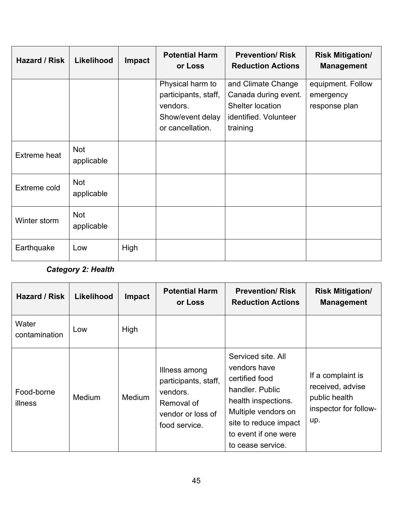| Hazard / Risk | Likelihood               | Impact | <b>Potential Harm</b><br>or Loss                                                             | <b>Prevention/ Risk</b><br><b>Reduction Actions</b>                                                 | <b>Risk Mitigation/</b><br><b>Management</b>    |
|---------------|--------------------------|--------|----------------------------------------------------------------------------------------------|-----------------------------------------------------------------------------------------------------|-------------------------------------------------|
|               |                          |        | Physical harm to<br>participants, staff,<br>vendors.<br>Show/event delay<br>or cancellation. | and Climate Change<br>Canada during event.<br>Shelter location<br>identified. Volunteer<br>training | equipment. Follow<br>emergency<br>response plan |
| Extreme heat  | <b>Not</b><br>applicable |        |                                                                                              |                                                                                                     |                                                 |
| Extreme cold  | <b>Not</b><br>applicable |        |                                                                                              |                                                                                                     |                                                 |
| Winter storm  | <b>Not</b><br>applicable |        |                                                                                              |                                                                                                     |                                                 |
| Earthquake    | Low                      | High   |                                                                                              |                                                                                                     |                                                 |

### *Category 2: Health*

| <b>Hazard / Risk</b>   | Likelihood    | Impact        | <b>Potential Harm</b><br>or Loss                                                                      | <b>Prevention/ Risk</b><br><b>Reduction Actions</b>                                                                                                                                         | <b>Risk Mitigation/</b><br><b>Management</b>                                           |
|------------------------|---------------|---------------|-------------------------------------------------------------------------------------------------------|---------------------------------------------------------------------------------------------------------------------------------------------------------------------------------------------|----------------------------------------------------------------------------------------|
| Water<br>contamination | Low           | High          |                                                                                                       |                                                                                                                                                                                             |                                                                                        |
| Food-borne<br>illness  | <b>Medium</b> | <b>Medium</b> | Illness among<br>participants, staff,<br>vendors.<br>Removal of<br>vendor or loss of<br>food service. | Serviced site. All<br>vendors have<br>certified food<br>handler. Public<br>health inspections.<br>Multiple vendors on<br>site to reduce impact<br>to event if one were<br>to cease service. | If a complaint is<br>received, advise<br>public health<br>inspector for follow-<br>up. |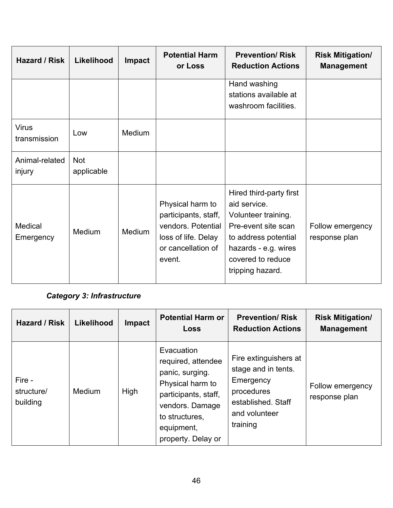| <b>Hazard / Risk</b>         | Likelihood               | <b>Impact</b> | <b>Potential Harm</b><br>or Loss                                                                                      | <b>Prevention/ Risk</b><br><b>Reduction Actions</b>                                                                                                                            | <b>Risk Mitigation/</b><br><b>Management</b> |
|------------------------------|--------------------------|---------------|-----------------------------------------------------------------------------------------------------------------------|--------------------------------------------------------------------------------------------------------------------------------------------------------------------------------|----------------------------------------------|
|                              |                          |               |                                                                                                                       | Hand washing<br>stations available at<br>washroom facilities.                                                                                                                  |                                              |
| <b>Virus</b><br>transmission | Low                      | Medium        |                                                                                                                       |                                                                                                                                                                                |                                              |
| Animal-related<br>injury     | <b>Not</b><br>applicable |               |                                                                                                                       |                                                                                                                                                                                |                                              |
| Medical<br>Emergency         | Medium                   | Medium        | Physical harm to<br>participants, staff,<br>vendors. Potential<br>loss of life. Delay<br>or cancellation of<br>event. | Hired third-party first<br>aid service.<br>Volunteer training.<br>Pre-event site scan<br>to address potential<br>hazards - e.g. wires<br>covered to reduce<br>tripping hazard. | Follow emergency<br>response plan            |

### *Category 3: Infrastructure*

| <b>Hazard / Risk</b>             | Likelihood | <b>Impact</b> | <b>Potential Harm or</b><br>Loss                                                                                                                                         | <b>Prevention/ Risk</b><br><b>Reduction Actions</b>                                                                        | <b>Risk Mitigation/</b><br><b>Management</b> |
|----------------------------------|------------|---------------|--------------------------------------------------------------------------------------------------------------------------------------------------------------------------|----------------------------------------------------------------------------------------------------------------------------|----------------------------------------------|
| Fire -<br>structure/<br>building | Medium     | High          | Evacuation<br>required, attendee<br>panic, surging.<br>Physical harm to<br>participants, staff,<br>vendors. Damage<br>to structures,<br>equipment,<br>property. Delay or | Fire extinguishers at<br>stage and in tents.<br>Emergency<br>procedures<br>established. Staff<br>and volunteer<br>training | Follow emergency<br>response plan            |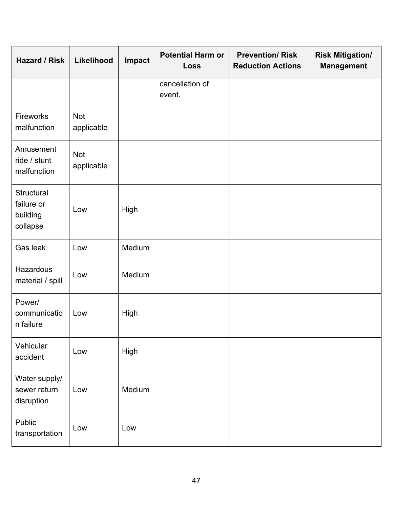| Hazard / Risk                                    | Likelihood               | Impact | <b>Potential Harm or</b><br>Loss | <b>Prevention/ Risk</b><br><b>Reduction Actions</b> | <b>Risk Mitigation/</b><br><b>Management</b> |
|--------------------------------------------------|--------------------------|--------|----------------------------------|-----------------------------------------------------|----------------------------------------------|
|                                                  |                          |        | cancellation of<br>event.        |                                                     |                                              |
| Fireworks<br>malfunction                         | <b>Not</b><br>applicable |        |                                  |                                                     |                                              |
| Amusement<br>ride / stunt<br>malfunction         | <b>Not</b><br>applicable |        |                                  |                                                     |                                              |
| Structural<br>failure or<br>building<br>collapse | Low                      | High   |                                  |                                                     |                                              |
| Gas leak                                         | Low                      | Medium |                                  |                                                     |                                              |
| Hazardous<br>material / spill                    | Low                      | Medium |                                  |                                                     |                                              |
| Power/<br>communicatio<br>n failure              | Low                      | High   |                                  |                                                     |                                              |
| Vehicular<br>accident                            | Low                      | High   |                                  |                                                     |                                              |
| Water supply/<br>sewer return<br>disruption      | Low                      | Medium |                                  |                                                     |                                              |
| Public<br>transportation                         | Low                      | Low    |                                  |                                                     |                                              |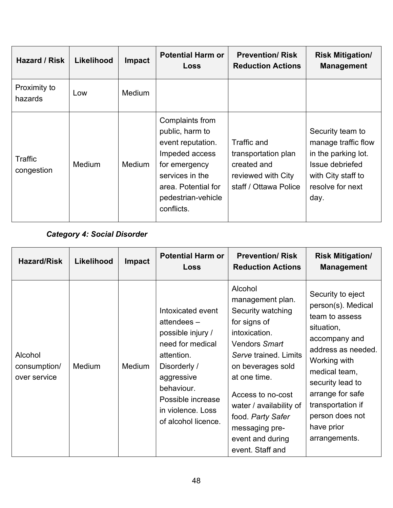| Hazard / Risk           | Likelihood    | Impact        | <b>Potential Harm or</b><br>Loss                                                                                                                                         | <b>Prevention/ Risk</b><br><b>Reduction Actions</b>                                              | <b>Risk Mitigation/</b><br><b>Management</b>                                                                                        |
|-------------------------|---------------|---------------|--------------------------------------------------------------------------------------------------------------------------------------------------------------------------|--------------------------------------------------------------------------------------------------|-------------------------------------------------------------------------------------------------------------------------------------|
| Proximity to<br>hazards | Low           | <b>Medium</b> |                                                                                                                                                                          |                                                                                                  |                                                                                                                                     |
| Traffic<br>congestion   | <b>Medium</b> | <b>Medium</b> | Complaints from<br>public, harm to<br>event reputation.<br>Impeded access<br>for emergency<br>services in the<br>area. Potential for<br>pedestrian-vehicle<br>conflicts. | Traffic and<br>transportation plan<br>created and<br>reviewed with City<br>staff / Ottawa Police | Security team to<br>manage traffic flow<br>in the parking lot.<br>Issue debriefed<br>with City staff to<br>resolve for next<br>day. |

### *Category 4: Social Disorder*

| <b>Hazard/Risk</b>                      | Likelihood | Impact        | <b>Potential Harm or</b><br><b>Loss</b>                                                                                                                                                                | <b>Prevention/Risk</b><br><b>Reduction Actions</b>                                                                                                                                                                                                                                              | <b>Risk Mitigation/</b><br><b>Management</b>                                                                                                                                                                                                                   |
|-----------------------------------------|------------|---------------|--------------------------------------------------------------------------------------------------------------------------------------------------------------------------------------------------------|-------------------------------------------------------------------------------------------------------------------------------------------------------------------------------------------------------------------------------------------------------------------------------------------------|----------------------------------------------------------------------------------------------------------------------------------------------------------------------------------------------------------------------------------------------------------------|
| Alcohol<br>consumption/<br>over service | Medium     | <b>Medium</b> | Intoxicated event<br>attendees $-$<br>possible injury /<br>need for medical<br>attention.<br>Disorderly /<br>aggressive<br>behaviour.<br>Possible increase<br>in violence. Loss<br>of alcohol licence. | Alcohol<br>management plan.<br>Security watching<br>for signs of<br>intoxication.<br>Vendors Smart<br>Serve trained. Limits<br>on beverages sold<br>at one time.<br>Access to no-cost<br>water / availability of<br>food. Party Safer<br>messaging pre-<br>event and during<br>event. Staff and | Security to eject<br>person(s). Medical<br>team to assess<br>situation,<br>accompany and<br>address as needed.<br>Working with<br>medical team,<br>security lead to<br>arrange for safe<br>transportation if<br>person does not<br>have prior<br>arrangements. |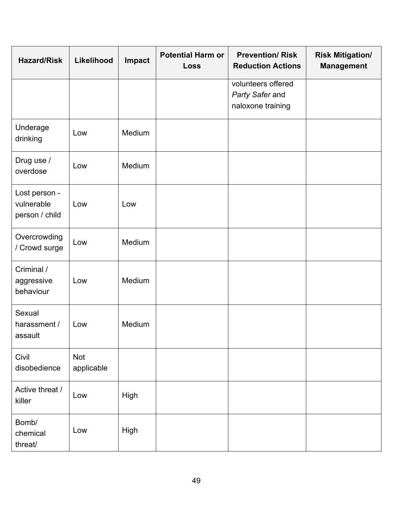| <b>Hazard/Risk</b>                            | Likelihood        | Impact | <b>Potential Harm or</b><br><b>Loss</b> | <b>Prevention/ Risk</b><br><b>Reduction Actions</b>        | <b>Risk Mitigation/</b><br><b>Management</b> |
|-----------------------------------------------|-------------------|--------|-----------------------------------------|------------------------------------------------------------|----------------------------------------------|
|                                               |                   |        |                                         | volunteers offered<br>Party Safer and<br>naloxone training |                                              |
| Underage<br>drinking                          | Low               | Medium |                                         |                                                            |                                              |
| Drug use /<br>overdose                        | Low               | Medium |                                         |                                                            |                                              |
| Lost person -<br>vulnerable<br>person / child | Low               | Low    |                                         |                                                            |                                              |
| Overcrowding<br>/ Crowd surge                 | Low               | Medium |                                         |                                                            |                                              |
| Criminal /<br>aggressive<br>behaviour         | Low               | Medium |                                         |                                                            |                                              |
| Sexual<br>harassment /<br>assault             | Low               | Medium |                                         |                                                            |                                              |
| Civil<br>disobedience                         | Not<br>applicable |        |                                         |                                                            |                                              |
| Active threat /<br>killer                     | Low               | High   |                                         |                                                            |                                              |
| Bomb/<br>chemical<br>threat/                  | Low               | High   |                                         |                                                            |                                              |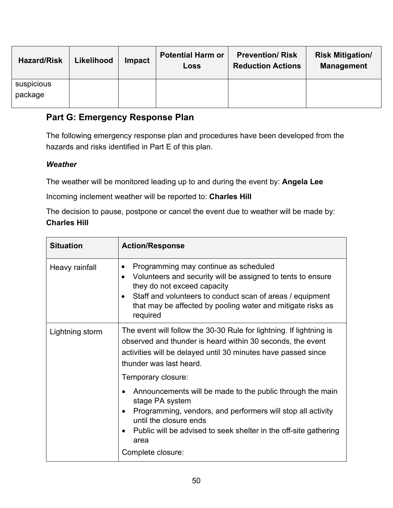| <b>Hazard/Risk</b> | Likelihood | <b>Impact</b> | <b>Potential Harm or</b><br>Loss | <b>Prevention/ Risk</b><br><b>Reduction Actions</b> | <b>Risk Mitigation/</b><br><b>Management</b> |
|--------------------|------------|---------------|----------------------------------|-----------------------------------------------------|----------------------------------------------|
| suspicious         |            |               |                                  |                                                     |                                              |
| package            |            |               |                                  |                                                     |                                              |

### **Part G: Emergency Response Plan**

The following emergency response plan and procedures have been developed from the hazards and risks identified in Part E of this plan.

#### *Weather*

The weather will be monitored leading up to and during the event by: **Angela Lee**

Incoming inclement weather will be reported to: **Charles Hill**

The decision to pause, postpone or cancel the event due to weather will be made by: **Charles Hill**

| <b>Situation</b> | <b>Action/Response</b>                                                                                                                                                                                                                                                                                    |
|------------------|-----------------------------------------------------------------------------------------------------------------------------------------------------------------------------------------------------------------------------------------------------------------------------------------------------------|
| Heavy rainfall   | Programming may continue as scheduled<br>Volunteers and security will be assigned to tents to ensure<br>they do not exceed capacity<br>Staff and volunteers to conduct scan of areas / equipment<br>that may be affected by pooling water and mitigate risks as<br>required                               |
| Lightning storm  | The event will follow the 30-30 Rule for lightning. If lightning is<br>observed and thunder is heard within 30 seconds, the event<br>activities will be delayed until 30 minutes have passed since<br>thunder was last heard.                                                                             |
|                  | Temporary closure:<br>Announcements will be made to the public through the main<br>stage PA system<br>Programming, vendors, and performers will stop all activity<br>until the closure ends<br>Public will be advised to seek shelter in the off-site gathering<br>$\bullet$<br>area<br>Complete closure: |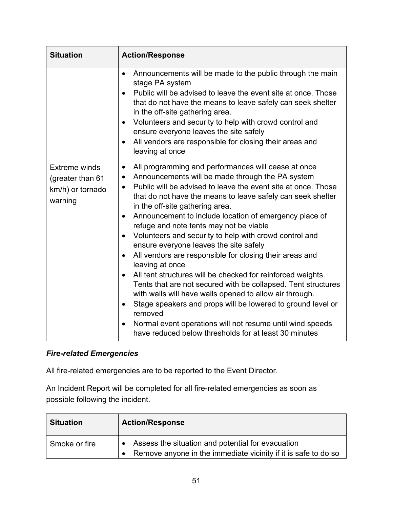| <b>Situation</b>                                                        | <b>Action/Response</b>                                                                                                                                                                                                                                                                                                                                                                                                                                                                                                                                                                                                                                                                                                                                                                                                                                                                                                                                                                                                                                               |  |
|-------------------------------------------------------------------------|----------------------------------------------------------------------------------------------------------------------------------------------------------------------------------------------------------------------------------------------------------------------------------------------------------------------------------------------------------------------------------------------------------------------------------------------------------------------------------------------------------------------------------------------------------------------------------------------------------------------------------------------------------------------------------------------------------------------------------------------------------------------------------------------------------------------------------------------------------------------------------------------------------------------------------------------------------------------------------------------------------------------------------------------------------------------|--|
|                                                                         | Announcements will be made to the public through the main<br>$\bullet$<br>stage PA system<br>Public will be advised to leave the event site at once. Those<br>$\bullet$<br>that do not have the means to leave safely can seek shelter<br>in the off-site gathering area.<br>Volunteers and security to help with crowd control and<br>ensure everyone leaves the site safely<br>All vendors are responsible for closing their areas and<br>$\bullet$<br>leaving at once                                                                                                                                                                                                                                                                                                                                                                                                                                                                                                                                                                                             |  |
| <b>Extreme winds</b><br>(greater than 61<br>km/h) or tornado<br>warning | All programming and performances will cease at once<br>$\bullet$<br>Announcements will be made through the PA system<br>$\bullet$<br>Public will be advised to leave the event site at once. Those<br>$\bullet$<br>that do not have the means to leave safely can seek shelter<br>in the off-site gathering area.<br>Announcement to include location of emergency place of<br>$\bullet$<br>refuge and note tents may not be viable<br>Volunteers and security to help with crowd control and<br>$\bullet$<br>ensure everyone leaves the site safely<br>All vendors are responsible for closing their areas and<br>$\bullet$<br>leaving at once<br>All tent structures will be checked for reinforced weights.<br>Tents that are not secured with be collapsed. Tent structures<br>with walls will have walls opened to allow air through.<br>Stage speakers and props will be lowered to ground level or<br>$\bullet$<br>removed<br>Normal event operations will not resume until wind speeds<br>$\bullet$<br>have reduced below thresholds for at least 30 minutes |  |

### *Fire-related Emergencies*

All fire-related emergencies are to be reported to the Event Director.

An Incident Report will be completed for all fire-related emergencies as soon as possible following the incident.

| <b>Situation</b> | <b>Action/Response</b>                                                                                              |
|------------------|---------------------------------------------------------------------------------------------------------------------|
| Smoke or fire    | Assess the situation and potential for evacuation<br>Remove anyone in the immediate vicinity if it is safe to do so |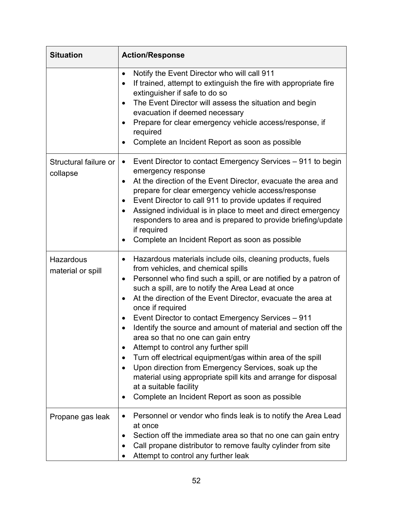| <b>Situation</b>                  | <b>Action/Response</b>                                                                                                                                                                                                                                                                                                                                                                                                                                                                                                                                                                                                                                                                                                                                                                                        |  |
|-----------------------------------|---------------------------------------------------------------------------------------------------------------------------------------------------------------------------------------------------------------------------------------------------------------------------------------------------------------------------------------------------------------------------------------------------------------------------------------------------------------------------------------------------------------------------------------------------------------------------------------------------------------------------------------------------------------------------------------------------------------------------------------------------------------------------------------------------------------|--|
|                                   | Notify the Event Director who will call 911<br>$\bullet$<br>If trained, attempt to extinguish the fire with appropriate fire<br>extinguisher if safe to do so<br>The Event Director will assess the situation and begin<br>$\bullet$<br>evacuation if deemed necessary<br>Prepare for clear emergency vehicle access/response, if<br>required<br>Complete an Incident Report as soon as possible<br>$\bullet$                                                                                                                                                                                                                                                                                                                                                                                                 |  |
| Structural failure or<br>collapse | Event Director to contact Emergency Services – 911 to begin<br>$\bullet$<br>emergency response<br>At the direction of the Event Director, evacuate the area and<br>٠<br>prepare for clear emergency vehicle access/response<br>Event Director to call 911 to provide updates if required<br>Assigned individual is in place to meet and direct emergency<br>responders to area and is prepared to provide briefing/update<br>if required<br>Complete an Incident Report as soon as possible                                                                                                                                                                                                                                                                                                                   |  |
| Hazardous<br>material or spill    | Hazardous materials include oils, cleaning products, fuels<br>٠<br>from vehicles, and chemical spills<br>Personnel who find such a spill, or are notified by a patron of<br>such a spill, are to notify the Area Lead at once<br>At the direction of the Event Director, evacuate the area at<br>$\bullet$<br>once if required<br>Event Director to contact Emergency Services - 911<br>٠<br>Identify the source and amount of material and section off the<br>area so that no one can gain entry<br>Attempt to control any further spill<br>Turn off electrical equipment/gas within area of the spill<br>Upon direction from Emergency Services, soak up the<br>material using appropriate spill kits and arrange for disposal<br>at a suitable facility<br>Complete an Incident Report as soon as possible |  |
| Propane gas leak                  | Personnel or vendor who finds leak is to notify the Area Lead<br>at once<br>Section off the immediate area so that no one can gain entry<br>Call propane distributor to remove faulty cylinder from site<br>Attempt to control any further leak                                                                                                                                                                                                                                                                                                                                                                                                                                                                                                                                                               |  |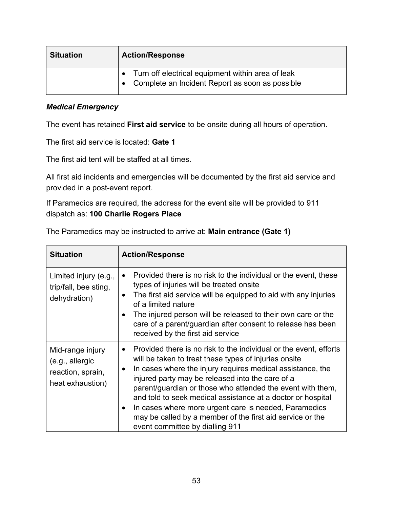| <b>Situation</b> | <b>Action/Response</b>                                                                               |
|------------------|------------------------------------------------------------------------------------------------------|
|                  | Turn off electrical equipment within area of leak<br>Complete an Incident Report as soon as possible |

#### *Medical Emergency*

The event has retained **First aid service** to be onsite during all hours of operation.

The first aid service is located: **Gate 1**

The first aid tent will be staffed at all times.

All first aid incidents and emergencies will be documented by the first aid service and provided in a post-event report.

If Paramedics are required, the address for the event site will be provided to 911 dispatch as: **100 Charlie Rogers Place**

|  | The Paramedics may be instructed to arrive at: Main entrance (Gate 1) |  |  |  |
|--|-----------------------------------------------------------------------|--|--|--|
|--|-----------------------------------------------------------------------|--|--|--|

| <b>Situation</b>                                                             | <b>Action/Response</b>                                                                                                                                                                                                                                                                                                                                                                                                                                                                                                                                                    |
|------------------------------------------------------------------------------|---------------------------------------------------------------------------------------------------------------------------------------------------------------------------------------------------------------------------------------------------------------------------------------------------------------------------------------------------------------------------------------------------------------------------------------------------------------------------------------------------------------------------------------------------------------------------|
| Limited injury (e.g.,<br>trip/fall, bee sting,<br>dehydration)               | Provided there is no risk to the individual or the event, these<br>$\bullet$<br>types of injuries will be treated onsite<br>The first aid service will be equipped to aid with any injuries<br>$\bullet$<br>of a limited nature<br>The injured person will be released to their own care or the<br>$\bullet$<br>care of a parent/guardian after consent to release has been<br>received by the first aid service                                                                                                                                                          |
| Mid-range injury<br>(e.g., allergic<br>reaction, sprain,<br>heat exhaustion) | Provided there is no risk to the individual or the event, efforts<br>$\bullet$<br>will be taken to treat these types of injuries onsite<br>In cases where the injury requires medical assistance, the<br>$\bullet$<br>injured party may be released into the care of a<br>parent/guardian or those who attended the event with them,<br>and told to seek medical assistance at a doctor or hospital<br>In cases where more urgent care is needed, Paramedics<br>$\bullet$<br>may be called by a member of the first aid service or the<br>event committee by dialling 911 |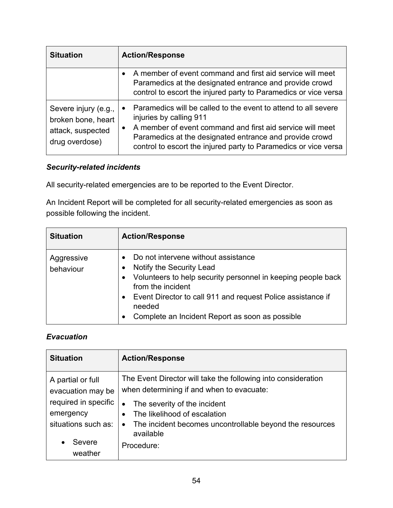| <b>Situation</b>                                                                  | <b>Action/Response</b>                                                                                                                                                                                                                                                                              |
|-----------------------------------------------------------------------------------|-----------------------------------------------------------------------------------------------------------------------------------------------------------------------------------------------------------------------------------------------------------------------------------------------------|
|                                                                                   | A member of event command and first aid service will meet<br>Paramedics at the designated entrance and provide crowd<br>control to escort the injured party to Paramedics or vice versa                                                                                                             |
| Severe injury (e.g.,<br>broken bone, heart<br>attack, suspected<br>drug overdose) | Paramedics will be called to the event to attend to all severe<br>$\bullet$<br>injuries by calling 911<br>• A member of event command and first aid service will meet<br>Paramedics at the designated entrance and provide crowd<br>control to escort the injured party to Paramedics or vice versa |

### *Security-related incidents*

All security-related emergencies are to be reported to the Event Director.

An Incident Report will be completed for all security-related emergencies as soon as possible following the incident.

| <b>Situation</b>        | <b>Action/Response</b>                                                                                                                                                                                                                                                                                                    |
|-------------------------|---------------------------------------------------------------------------------------------------------------------------------------------------------------------------------------------------------------------------------------------------------------------------------------------------------------------------|
| Aggressive<br>behaviour | Do not intervene without assistance<br>$\bullet$<br>Notify the Security Lead<br>Volunteers to help security personnel in keeping people back<br>$\bullet$<br>from the incident<br>• Event Director to call 911 and request Police assistance if<br>needed<br>Complete an Incident Report as soon as possible<br>$\bullet$ |

### *Evacuation*

| <b>Situation</b>                                         | <b>Action/Response</b>                                                                                                                                                       |
|----------------------------------------------------------|------------------------------------------------------------------------------------------------------------------------------------------------------------------------------|
| A partial or full<br>evacuation may be                   | The Event Director will take the following into consideration<br>when determining if and when to evacuate:                                                                   |
| required in specific<br>emergency<br>situations such as: | The severity of the incident<br>$\bullet$<br>The likelihood of escalation<br>$\bullet$<br>The incident becomes uncontrollable beyond the resources<br>$\bullet$<br>available |
| Severe<br>weather                                        | Procedure:                                                                                                                                                                   |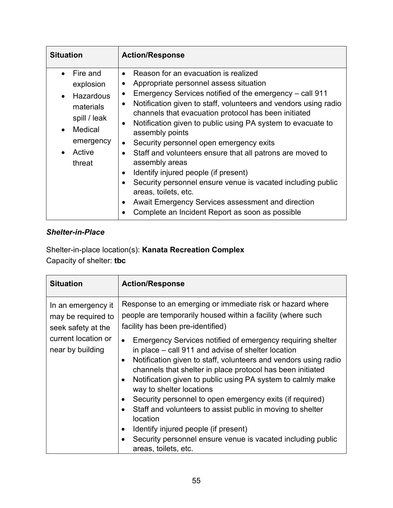| <b>Situation</b>                                                                                                   | <b>Action/Response</b>                                                                                                                                                                                                                                                                                                                                                                                                                                                                                                                                                                                                                                                                                                                                                                   |
|--------------------------------------------------------------------------------------------------------------------|------------------------------------------------------------------------------------------------------------------------------------------------------------------------------------------------------------------------------------------------------------------------------------------------------------------------------------------------------------------------------------------------------------------------------------------------------------------------------------------------------------------------------------------------------------------------------------------------------------------------------------------------------------------------------------------------------------------------------------------------------------------------------------------|
| Fire and<br>explosion<br><b>Hazardous</b><br>materials<br>spill / leak<br>Medical<br>emergency<br>Active<br>threat | Reason for an evacuation is realized<br>$\bullet$<br>Appropriate personnel assess situation<br>$\bullet$<br>Emergency Services notified of the emergency – call 911<br>$\bullet$<br>Notification given to staff, volunteers and vendors using radio<br>$\bullet$<br>channels that evacuation protocol has been initiated<br>Notification given to public using PA system to evacuate to<br>$\bullet$<br>assembly points<br>Security personnel open emergency exits<br>Staff and volunteers ensure that all patrons are moved to<br>assembly areas<br>Identify injured people (if present)<br>Security personnel ensure venue is vacated including public<br>areas, toilets, etc.<br>Await Emergency Services assessment and direction<br>Complete an Incident Report as soon as possible |

### *Shelter-in-Place*

Shelter-in-place location(s): **Kanata Recreation Complex** Capacity of shelter: **tbc**

| <b>Situation</b>                                               | <b>Action/Response</b>                                                                                                                                                                                                                                                                                                                                                 |
|----------------------------------------------------------------|------------------------------------------------------------------------------------------------------------------------------------------------------------------------------------------------------------------------------------------------------------------------------------------------------------------------------------------------------------------------|
| In an emergency it<br>may be required to<br>seek safety at the | Response to an emerging or immediate risk or hazard where<br>people are temporarily housed within a facility (where such<br>facility has been pre-identified)                                                                                                                                                                                                          |
| current location or<br>near by building                        | Emergency Services notified of emergency requiring shelter<br>$\bullet$<br>in place – call 911 and advise of shelter location<br>Notification given to staff, volunteers and vendors using radio<br>$\bullet$<br>channels that shelter in place protocol has been initiated<br>Notification given to public using PA system to calmly make<br>way to shelter locations |
|                                                                | Security personnel to open emergency exits (if required)<br>Staff and volunteers to assist public in moving to shelter<br>location<br>Identify injured people (if present)<br>Security personnel ensure venue is vacated including public<br>areas, toilets, etc.                                                                                                      |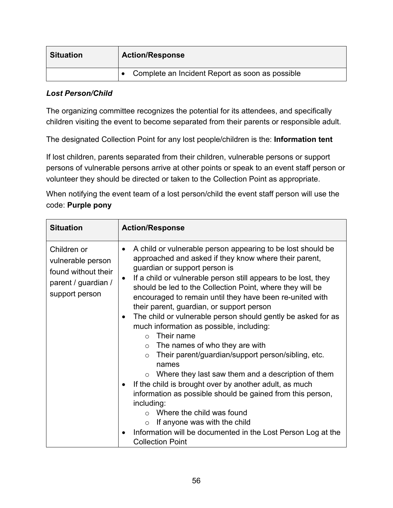| <b>Situation</b> | <b>Action/Response</b>                          |
|------------------|-------------------------------------------------|
|                  | Complete an Incident Report as soon as possible |

#### *Lost Person/Child*

The organizing committee recognizes the potential for its attendees, and specifically children visiting the event to become separated from their parents or responsible adult.

The designated Collection Point for any lost people/children is the: **Information tent**

If lost children, parents separated from their children, vulnerable persons or support persons of vulnerable persons arrive at other points or speak to an event staff person or volunteer they should be directed or taken to the Collection Point as appropriate.

When notifying the event team of a lost person/child the event staff person will use the code: **Purple pony**

| <b>Situation</b>                                                                                 | <b>Action/Response</b>                                                                                                                                                                                                                                                                                                                                                                                                                                                                                                                                                                                                                                                                                                                                                                                                                                                                                                                                                                                                                                                         |
|--------------------------------------------------------------------------------------------------|--------------------------------------------------------------------------------------------------------------------------------------------------------------------------------------------------------------------------------------------------------------------------------------------------------------------------------------------------------------------------------------------------------------------------------------------------------------------------------------------------------------------------------------------------------------------------------------------------------------------------------------------------------------------------------------------------------------------------------------------------------------------------------------------------------------------------------------------------------------------------------------------------------------------------------------------------------------------------------------------------------------------------------------------------------------------------------|
| Children or<br>vulnerable person<br>found without their<br>parent / guardian /<br>support person | A child or vulnerable person appearing to be lost should be<br>approached and asked if they know where their parent,<br>guardian or support person is<br>If a child or vulnerable person still appears to be lost, they<br>$\bullet$<br>should be led to the Collection Point, where they will be<br>encouraged to remain until they have been re-united with<br>their parent, guardian, or support person<br>The child or vulnerable person should gently be asked for as<br>$\bullet$<br>much information as possible, including:<br>Their name<br>$\bigcap$<br>$\circ$ The names of who they are with<br>Their parent/guardian/support person/sibling, etc.<br>$\circ$<br>names<br>$\circ$ Where they last saw them and a description of them<br>If the child is brought over by another adult, as much<br>$\bullet$<br>information as possible should be gained from this person,<br>including:<br>$\circ$ Where the child was found<br>If anyone was with the child<br>$\circ$<br>Information will be documented in the Lost Person Log at the<br><b>Collection Point</b> |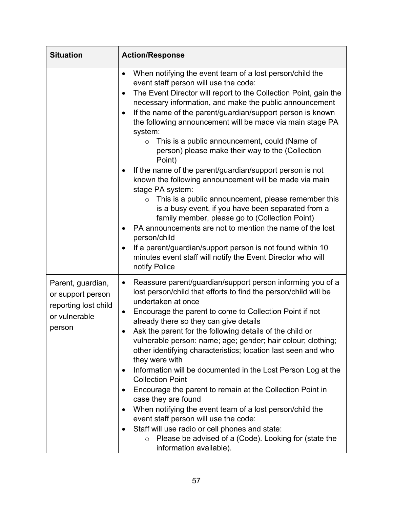| <b>Situation</b>                                                                          | <b>Action/Response</b>                                                                                                                                                                                                                                                                                                                                                                                                                                                                                                                                                                                                                                                                                                                                                                                                                                                                                                                                                                                                                                                   |  |  |  |
|-------------------------------------------------------------------------------------------|--------------------------------------------------------------------------------------------------------------------------------------------------------------------------------------------------------------------------------------------------------------------------------------------------------------------------------------------------------------------------------------------------------------------------------------------------------------------------------------------------------------------------------------------------------------------------------------------------------------------------------------------------------------------------------------------------------------------------------------------------------------------------------------------------------------------------------------------------------------------------------------------------------------------------------------------------------------------------------------------------------------------------------------------------------------------------|--|--|--|
|                                                                                           | When notifying the event team of a lost person/child the<br>$\bullet$<br>event staff person will use the code:<br>The Event Director will report to the Collection Point, gain the<br>$\bullet$<br>necessary information, and make the public announcement<br>If the name of the parent/guardian/support person is known<br>the following announcement will be made via main stage PA<br>system:<br>This is a public announcement, could (Name of<br>$\circ$<br>person) please make their way to the (Collection<br>Point)<br>If the name of the parent/guardian/support person is not<br>known the following announcement will be made via main<br>stage PA system:<br>This is a public announcement, please remember this<br>$\circ$<br>is a busy event, if you have been separated from a<br>family member, please go to (Collection Point)<br>PA announcements are not to mention the name of the lost<br>person/child<br>If a parent/guardian/support person is not found within 10<br>minutes event staff will notify the Event Director who will<br>notify Police |  |  |  |
| Parent, guardian,<br>or support person<br>reporting lost child<br>or vulnerable<br>person | Reassure parent/guardian/support person informing you of a<br>$\bullet$<br>lost person/child that efforts to find the person/child will be<br>undertaken at once<br>Encourage the parent to come to Collection Point if not<br>already there so they can give details<br>Ask the parent for the following details of the child or<br>vulnerable person: name; age; gender; hair colour; clothing;<br>other identifying characteristics; location last seen and who<br>they were with<br>Information will be documented in the Lost Person Log at the<br><b>Collection Point</b><br>Encourage the parent to remain at the Collection Point in<br>case they are found<br>When notifying the event team of a lost person/child the<br>event staff person will use the code:<br>Staff will use radio or cell phones and state:<br>Please be advised of a (Code). Looking for (state the<br>information available).                                                                                                                                                           |  |  |  |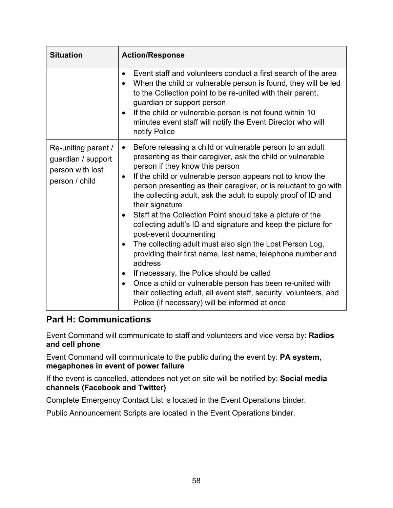| <b>Situation</b>                                                                | <b>Action/Response</b>                                                                                                                                                                                                                                                                                                                                                                                                                                                                                                                                                                                                                                                                                                                                                                                                                                                                                                                                              |  |  |  |
|---------------------------------------------------------------------------------|---------------------------------------------------------------------------------------------------------------------------------------------------------------------------------------------------------------------------------------------------------------------------------------------------------------------------------------------------------------------------------------------------------------------------------------------------------------------------------------------------------------------------------------------------------------------------------------------------------------------------------------------------------------------------------------------------------------------------------------------------------------------------------------------------------------------------------------------------------------------------------------------------------------------------------------------------------------------|--|--|--|
|                                                                                 | Event staff and volunteers conduct a first search of the area<br>$\bullet$<br>When the child or vulnerable person is found, they will be led<br>$\bullet$<br>to the Collection point to be re-united with their parent,<br>guardian or support person<br>If the child or vulnerable person is not found within 10<br>$\bullet$<br>minutes event staff will notify the Event Director who will<br>notify Police                                                                                                                                                                                                                                                                                                                                                                                                                                                                                                                                                      |  |  |  |
| Re-uniting parent /<br>guardian / support<br>person with lost<br>person / child | Before releasing a child or vulnerable person to an adult<br>$\bullet$<br>presenting as their caregiver, ask the child or vulnerable<br>person if they know this person<br>If the child or vulnerable person appears not to know the<br>$\bullet$<br>person presenting as their caregiver, or is reluctant to go with<br>the collecting adult, ask the adult to supply proof of ID and<br>their signature<br>Staff at the Collection Point should take a picture of the<br>$\bullet$<br>collecting adult's ID and signature and keep the picture for<br>post-event documenting<br>The collecting adult must also sign the Lost Person Log,<br>providing their first name, last name, telephone number and<br>address<br>If necessary, the Police should be called<br>$\bullet$<br>Once a child or vulnerable person has been re-united with<br>their collecting adult, all event staff, security, volunteers, and<br>Police (if necessary) will be informed at once |  |  |  |

### **Part H: Communications**

Event Command will communicate to staff and volunteers and vice versa by: **Radios and cell phone**

Event Command will communicate to the public during the event by: **PA system, megaphones in event of power failure**

If the event is cancelled, attendees not yet on site will be notified by: **Social media channels (Facebook and Twitter)**

Complete Emergency Contact List is located in the Event Operations binder.

<span id="page-58-0"></span>Public Announcement Scripts are located in the Event Operations binder.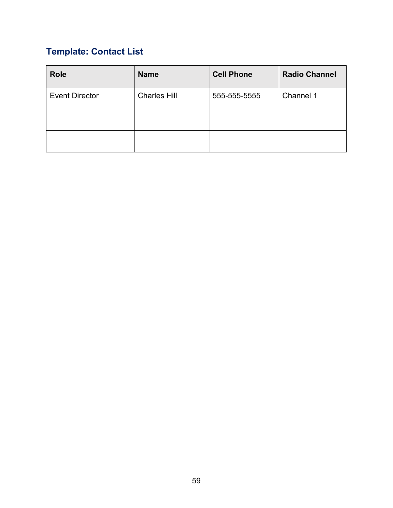### <span id="page-59-0"></span>**Template: Contact List**

| <b>Role</b>           | <b>Name</b>         | <b>Cell Phone</b> | <b>Radio Channel</b> |
|-----------------------|---------------------|-------------------|----------------------|
| <b>Event Director</b> | <b>Charles Hill</b> | 555-555-5555      | Channel 1            |
|                       |                     |                   |                      |
|                       |                     |                   |                      |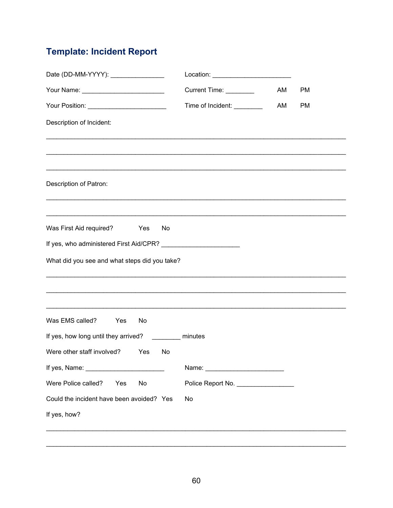### <span id="page-60-0"></span>**Template: Incident Report**

| Date (DD-MM-YYYY): _________________                  |           |                                       |    |           |
|-------------------------------------------------------|-----------|---------------------------------------|----|-----------|
|                                                       |           | Current Time: ________                | AM | <b>PM</b> |
| Your Position: ___________________________            |           | Time of Incident: ________            | AM | <b>PM</b> |
| Description of Incident:                              |           |                                       |    |           |
|                                                       |           |                                       |    |           |
| Description of Patron:                                |           |                                       |    |           |
|                                                       |           |                                       |    |           |
| Was First Aid required? Yes                           | No        |                                       |    |           |
|                                                       |           |                                       |    |           |
| What did you see and what steps did you take?         |           |                                       |    |           |
|                                                       |           |                                       |    |           |
|                                                       |           |                                       |    |           |
| Was EMS called?<br>Yes                                | No        |                                       |    |           |
| If yes, how long until they arrived? ________ minutes |           |                                       |    |           |
| Were other staff involved?                            | Yes<br>No |                                       |    |           |
|                                                       |           |                                       |    |           |
| Were Police called?<br>Yes                            | No        | Police Report No. ___________________ |    |           |
| Could the incident have been avoided? Yes             |           | No                                    |    |           |
| If yes, how?                                          |           |                                       |    |           |
|                                                       |           |                                       |    |           |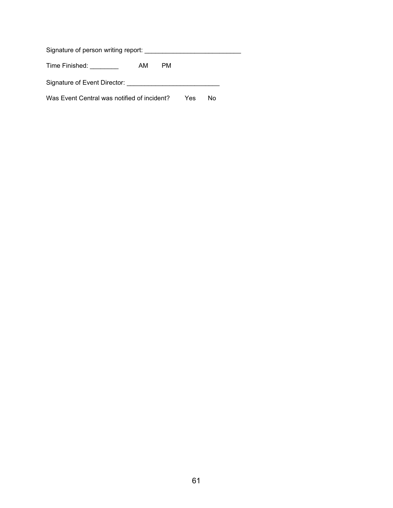Signature of person writing report: \_\_\_\_\_\_\_\_\_\_\_\_\_\_\_\_\_\_\_\_\_\_\_\_\_\_\_ Time Finished: \_\_\_\_\_\_\_\_\_ AM PM Signature of Event Director: \_\_\_\_\_\_\_\_\_\_\_\_\_\_\_\_\_\_\_\_\_\_\_\_\_\_

Was Event Central was notified of incident? Yes No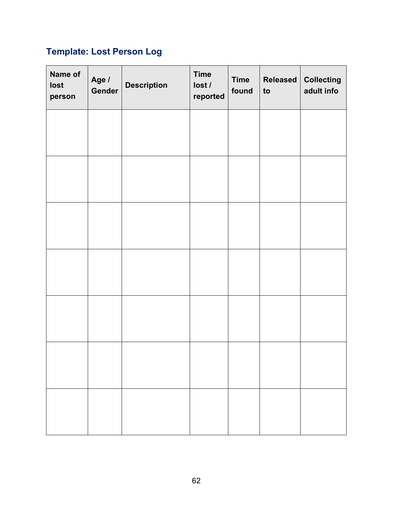### <span id="page-62-0"></span>**Template: Lost Person Log**

<span id="page-62-1"></span>

| Name of<br>lost<br>person | Age /<br>Gender | <b>Description</b> | <b>Time</b><br>lost /<br>reported | <b>Time</b><br>found | <b>Released</b><br>to | <b>Collecting</b><br>adult info |
|---------------------------|-----------------|--------------------|-----------------------------------|----------------------|-----------------------|---------------------------------|
|                           |                 |                    |                                   |                      |                       |                                 |
|                           |                 |                    |                                   |                      |                       |                                 |
|                           |                 |                    |                                   |                      |                       |                                 |
|                           |                 |                    |                                   |                      |                       |                                 |
|                           |                 |                    |                                   |                      |                       |                                 |
|                           |                 |                    |                                   |                      |                       |                                 |
|                           |                 |                    |                                   |                      |                       |                                 |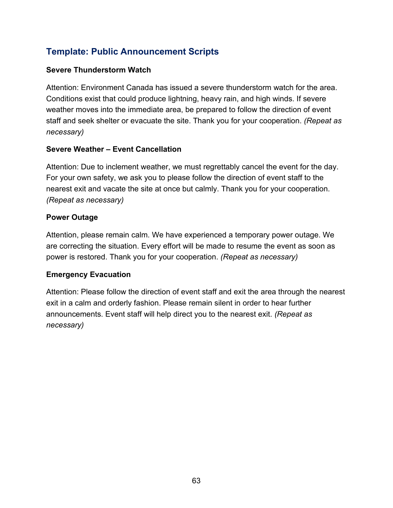### <span id="page-63-0"></span>**Template: Public Announcement Scripts**

#### **Severe Thunderstorm Watch**

Attention: Environment Canada has issued a severe thunderstorm watch for the area. Conditions exist that could produce lightning, heavy rain, and high winds. If severe weather moves into the immediate area, be prepared to follow the direction of event staff and seek shelter or evacuate the site. Thank you for your cooperation. *(Repeat as necessary)*

#### **Severe Weather – Event Cancellation**

Attention: Due to inclement weather, we must regrettably cancel the event for the day. For your own safety, we ask you to please follow the direction of event staff to the nearest exit and vacate the site at once but calmly. Thank you for your cooperation. *(Repeat as necessary)*

#### **Power Outage**

Attention, please remain calm. We have experienced a temporary power outage. We are correcting the situation. Every effort will be made to resume the event as soon as power is restored. Thank you for your cooperation. *(Repeat as necessary)*

### **Emergency Evacuation**

Attention: Please follow the direction of event staff and exit the area through the nearest exit in a calm and orderly fashion. Please remain silent in order to hear further announcements. Event staff will help direct you to the nearest exit. *(Repeat as necessary)*